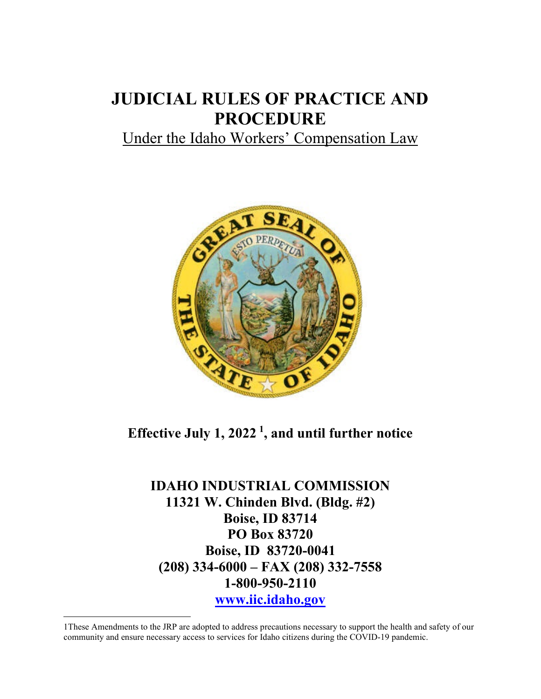# **JUDICIAL RULES OF PRACTICE AND PROCEDURE**

# Under the Idaho Workers' Compensation Law



# **Effective July 1, 2022 [1](#page-0-0) , and until further notice**

**IDAHO INDUSTRIAL COMMISSION 11321 W. Chinden Blvd. (Bldg. #2) Boise, ID 83714 PO Box 83720 Boise, ID 83720-0041 (208) 334-6000 – FAX (208) 332-7558 1-800-950-2110 [www.iic.idaho.gov](http://www.iic.idaho.gov/)**

<span id="page-0-0"></span><sup>1</sup>These Amendments to the JRP are adopted to address precautions necessary to support the health and safety of our community and ensure necessary access to services for Idaho citizens during the COVID-19 pandemic.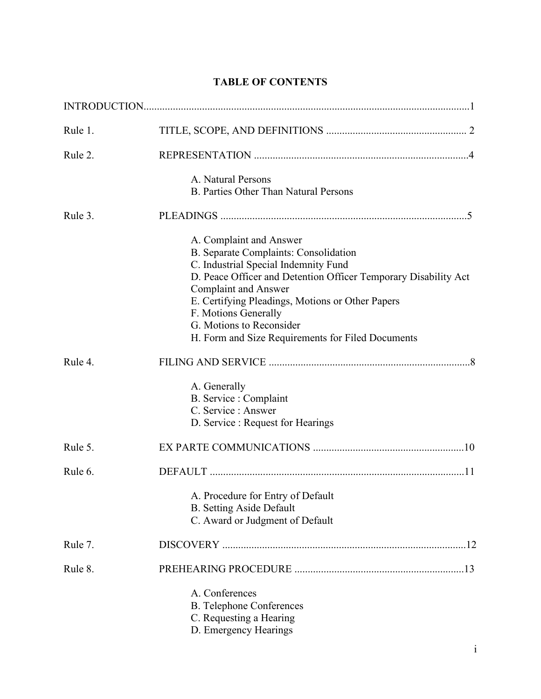# **TABLE OF CONTENTS**

| Rule 1. |                                                                                                                                                                                                                                                                                                                                                                         |
|---------|-------------------------------------------------------------------------------------------------------------------------------------------------------------------------------------------------------------------------------------------------------------------------------------------------------------------------------------------------------------------------|
| Rule 2. |                                                                                                                                                                                                                                                                                                                                                                         |
|         | A. Natural Persons<br><b>B. Parties Other Than Natural Persons</b>                                                                                                                                                                                                                                                                                                      |
| Rule 3. |                                                                                                                                                                                                                                                                                                                                                                         |
|         | A. Complaint and Answer<br>B. Separate Complaints: Consolidation<br>C. Industrial Special Indemnity Fund<br>D. Peace Officer and Detention Officer Temporary Disability Act<br><b>Complaint and Answer</b><br>E. Certifying Pleadings, Motions or Other Papers<br>F. Motions Generally<br>G. Motions to Reconsider<br>H. Form and Size Requirements for Filed Documents |
| Rule 4. |                                                                                                                                                                                                                                                                                                                                                                         |
|         | A. Generally<br>B. Service : Complaint<br>C. Service : Answer<br>D. Service : Request for Hearings                                                                                                                                                                                                                                                                      |
| Rule 5. |                                                                                                                                                                                                                                                                                                                                                                         |
| Rule 6. |                                                                                                                                                                                                                                                                                                                                                                         |
|         | A. Procedure for Entry of Default<br><b>B.</b> Setting Aside Default<br>C. Award or Judgment of Default                                                                                                                                                                                                                                                                 |
| Rule 7. |                                                                                                                                                                                                                                                                                                                                                                         |
| Rule 8. |                                                                                                                                                                                                                                                                                                                                                                         |
|         | A. Conferences<br><b>B.</b> Telephone Conferences<br>C. Requesting a Hearing<br>D. Emergency Hearings                                                                                                                                                                                                                                                                   |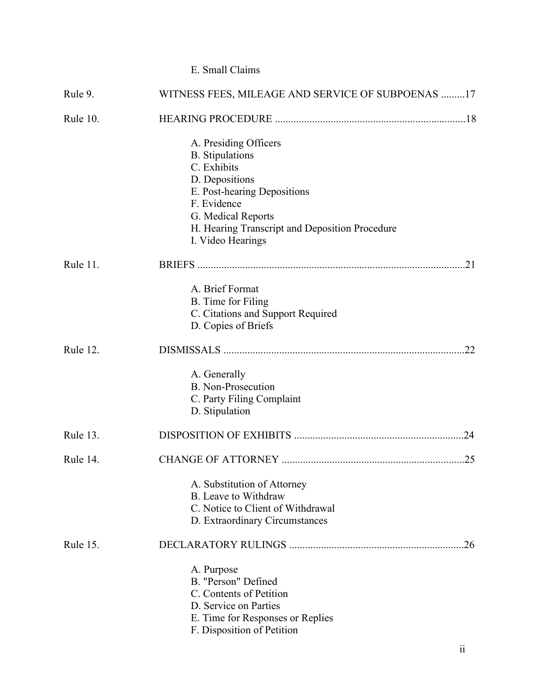# E. Small Claims

| Rule 9.  | WITNESS FEES, MILEAGE AND SERVICE OF SUBPOENAS 17                    |  |  |
|----------|----------------------------------------------------------------------|--|--|
| Rule 10. |                                                                      |  |  |
|          | A. Presiding Officers                                                |  |  |
|          | <b>B.</b> Stipulations                                               |  |  |
|          | C. Exhibits                                                          |  |  |
|          | D. Depositions                                                       |  |  |
|          | E. Post-hearing Depositions                                          |  |  |
|          | F. Evidence                                                          |  |  |
|          | G. Medical Reports<br>H. Hearing Transcript and Deposition Procedure |  |  |
|          | I. Video Hearings                                                    |  |  |
| Rule 11. |                                                                      |  |  |
|          | A. Brief Format                                                      |  |  |
|          | B. Time for Filing                                                   |  |  |
|          | C. Citations and Support Required                                    |  |  |
|          | D. Copies of Briefs                                                  |  |  |
| Rule 12. |                                                                      |  |  |
|          | A. Generally                                                         |  |  |
|          | <b>B.</b> Non-Prosecution                                            |  |  |
|          | C. Party Filing Complaint                                            |  |  |
|          | D. Stipulation                                                       |  |  |
| Rule 13. |                                                                      |  |  |
| Rule 14. |                                                                      |  |  |
|          | A. Substitution of Attorney                                          |  |  |
|          | B. Leave to Withdraw                                                 |  |  |
|          | C. Notice to Client of Withdrawal                                    |  |  |
|          | D. Extraordinary Circumstances                                       |  |  |
| Rule 15. |                                                                      |  |  |
|          | A. Purpose                                                           |  |  |
|          | B. "Person" Defined                                                  |  |  |
|          | C. Contents of Petition                                              |  |  |
|          | D. Service on Parties                                                |  |  |
|          | E. Time for Responses or Replies<br>F. Disposition of Petition       |  |  |
|          |                                                                      |  |  |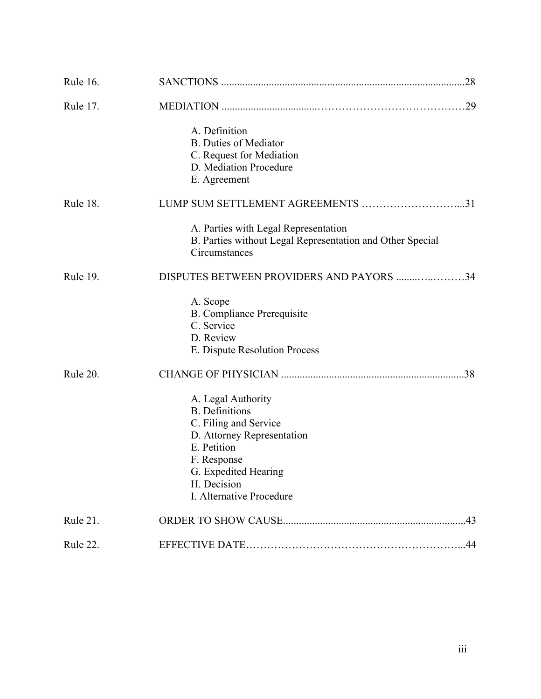| Rule 16.        |                                                           |
|-----------------|-----------------------------------------------------------|
| <b>Rule 17.</b> |                                                           |
|                 | A. Definition                                             |
|                 | <b>B.</b> Duties of Mediator                              |
|                 | C. Request for Mediation                                  |
|                 | D. Mediation Procedure                                    |
|                 | E. Agreement                                              |
| Rule 18.        | LUMP SUM SETTLEMENT AGREEMENTS 31                         |
|                 | A. Parties with Legal Representation                      |
|                 | B. Parties without Legal Representation and Other Special |
|                 | Circumstances                                             |
| Rule 19.        | DISPUTES BETWEEN PROVIDERS AND PAYORS 34                  |
|                 | A. Scope                                                  |
|                 | <b>B.</b> Compliance Prerequisite                         |
|                 | C. Service                                                |
|                 | D. Review                                                 |
|                 | E. Dispute Resolution Process                             |
| Rule 20.        |                                                           |
|                 | A. Legal Authority                                        |
|                 | <b>B.</b> Definitions                                     |
|                 | C. Filing and Service                                     |
|                 | D. Attorney Representation                                |
|                 | E. Petition                                               |
|                 | F. Response<br>G. Expedited Hearing                       |
|                 | H. Decision                                               |
|                 | I. Alternative Procedure                                  |
| Rule 21.        |                                                           |
| Rule 22.        |                                                           |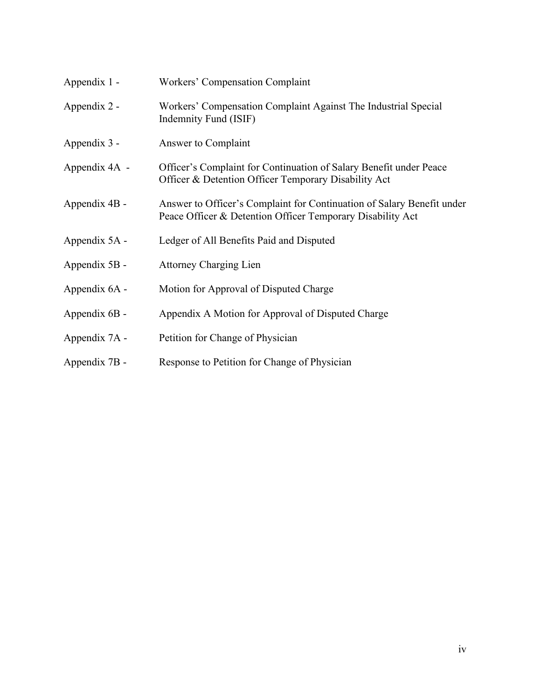| Appendix 1 -  | Workers' Compensation Complaint                                                                                                      |
|---------------|--------------------------------------------------------------------------------------------------------------------------------------|
| Appendix 2 -  | Workers' Compensation Complaint Against The Industrial Special<br>Indemnity Fund (ISIF)                                              |
| Appendix 3 -  | Answer to Complaint                                                                                                                  |
| Appendix 4A - | Officer's Complaint for Continuation of Salary Benefit under Peace<br>Officer & Detention Officer Temporary Disability Act           |
| Appendix 4B - | Answer to Officer's Complaint for Continuation of Salary Benefit under<br>Peace Officer & Detention Officer Temporary Disability Act |
| Appendix 5A - | Ledger of All Benefits Paid and Disputed                                                                                             |
| Appendix 5B - | <b>Attorney Charging Lien</b>                                                                                                        |
| Appendix 6A - | Motion for Approval of Disputed Charge                                                                                               |
| Appendix 6B - | Appendix A Motion for Approval of Disputed Charge                                                                                    |
| Appendix 7A - | Petition for Change of Physician                                                                                                     |
| Appendix 7B - | Response to Petition for Change of Physician                                                                                         |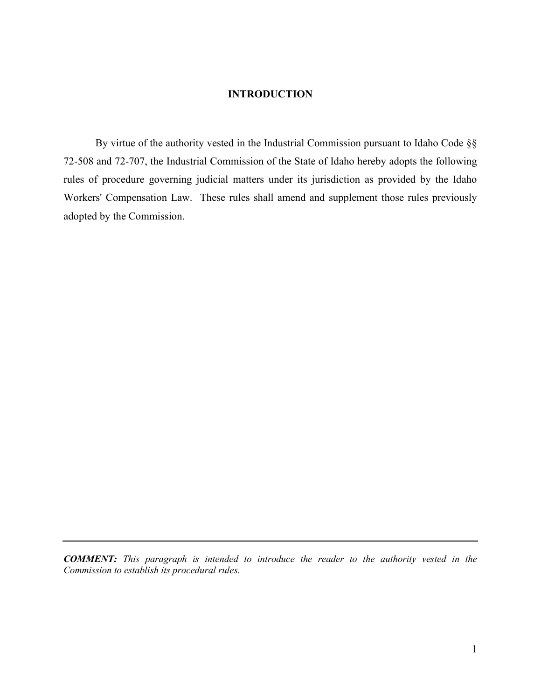### **INTRODUCTION**

By virtue of the authority vested in the Industrial Commission pursuant to Idaho Code §§ 72-508 and 72-707, the Industrial Commission of the State of Idaho hereby adopts the following rules of procedure governing judicial matters under its jurisdiction as provided by the Idaho Workers' Compensation Law. These rules shall amend and supplement those rules previously adopted by the Commission.

*COMMENT: This paragraph is intended to introduce the reader to the authority vested in the Commission to establish its procedural rules.*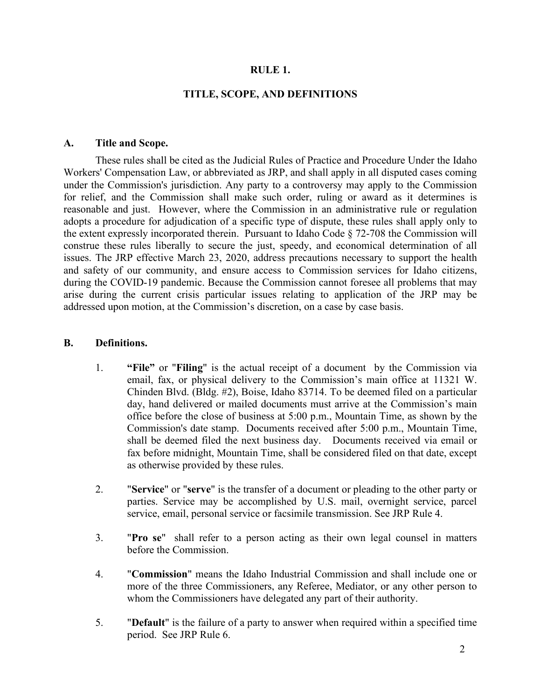### **RULE 1.**

### **TITLE, SCOPE, AND DEFINITIONS**

#### **A. Title and Scope.**

These rules shall be cited as the Judicial Rules of Practice and Procedure Under the Idaho Workers' Compensation Law, or abbreviated as JRP, and shall apply in all disputed cases coming under the Commission's jurisdiction. Any party to a controversy may apply to the Commission for relief, and the Commission shall make such order, ruling or award as it determines is reasonable and just. However, where the Commission in an administrative rule or regulation adopts a procedure for adjudication of a specific type of dispute, these rules shall apply only to the extent expressly incorporated therein. Pursuant to Idaho Code § 72-708 the Commission will construe these rules liberally to secure the just, speedy, and economical determination of all issues. The JRP effective March 23, 2020, address precautions necessary to support the health and safety of our community, and ensure access to Commission services for Idaho citizens, during the COVID-19 pandemic. Because the Commission cannot foresee all problems that may arise during the current crisis particular issues relating to application of the JRP may be addressed upon motion, at the Commission's discretion, on a case by case basis.

#### **B. Definitions.**

- 1. **"File"** or "**Filing**" is the actual receipt of a document by the Commission via email, fax, or physical delivery to the Commission's main office at 11321 W. Chinden Blvd. (Bldg. #2), Boise, Idaho 83714. To be deemed filed on a particular day, hand delivered or mailed documents must arrive at the Commission's main office before the close of business at 5:00 p.m., Mountain Time, as shown by the Commission's date stamp. Documents received after 5:00 p.m., Mountain Time, shall be deemed filed the next business day. Documents received via email or fax before midnight, Mountain Time, shall be considered filed on that date, except as otherwise provided by these rules.
- 2. "**Service**" or "**serve**" is the transfer of a document or pleading to the other party or parties. Service may be accomplished by U.S. mail, overnight service, parcel service, email, personal service or facsimile transmission. See JRP Rule 4.
- 3. "**Pro se**" shall refer to a person acting as their own legal counsel in matters before the Commission.
- 4. "**Commission**" means the Idaho Industrial Commission and shall include one or more of the three Commissioners, any Referee, Mediator, or any other person to whom the Commissioners have delegated any part of their authority.
- 5. "**Default**" is the failure of a party to answer when required within a specified time period. See JRP Rule 6.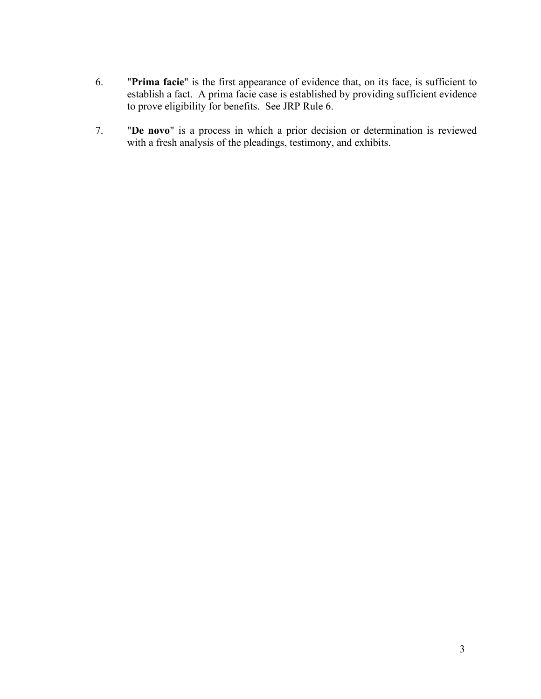- 6. "**Prima facie**" is the first appearance of evidence that, on its face, is sufficient to establish a fact. A prima facie case is established by providing sufficient evidence to prove eligibility for benefits. See JRP Rule 6.
- 7. "**De novo**" is a process in which a prior decision or determination is reviewed with a fresh analysis of the pleadings, testimony, and exhibits.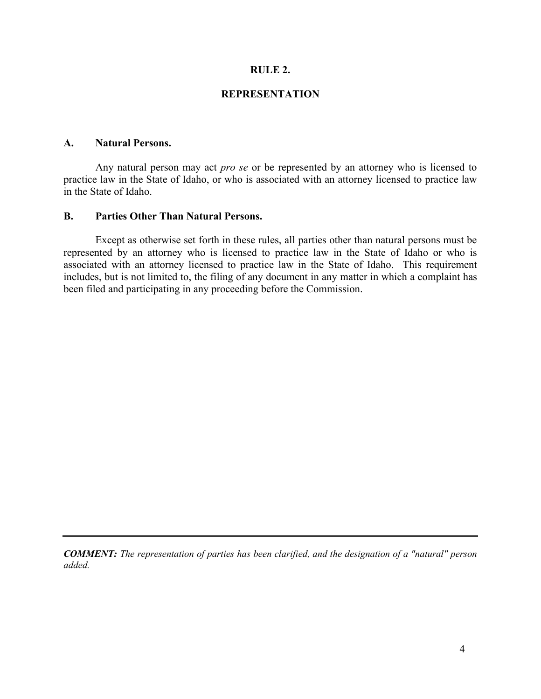### **RULE 2.**

### **REPRESENTATION**

# **A. Natural Persons.**

Any natural person may act *pro se* or be represented by an attorney who is licensed to practice law in the State of Idaho, or who is associated with an attorney licensed to practice law in the State of Idaho.

### **B. Parties Other Than Natural Persons.**

Except as otherwise set forth in these rules, all parties other than natural persons must be represented by an attorney who is licensed to practice law in the State of Idaho or who is associated with an attorney licensed to practice law in the State of Idaho. This requirement includes, but is not limited to, the filing of any document in any matter in which a complaint has been filed and participating in any proceeding before the Commission.

*COMMENT: The representation of parties has been clarified, and the designation of a "natural" person added.*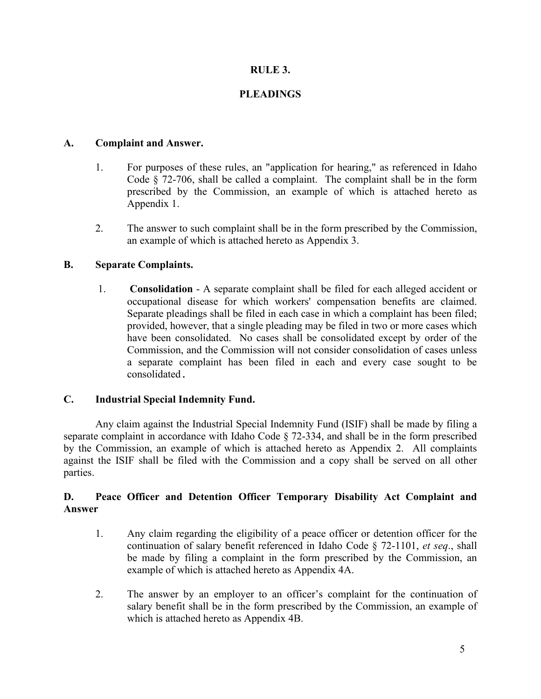# **RULE 3.**

# **PLEADINGS**

# **A. Complaint and Answer.**

- 1. For purposes of these rules, an "application for hearing," as referenced in Idaho Code § 72-706, shall be called a complaint. The complaint shall be in the form prescribed by the Commission, an example of which is attached hereto as Appendix 1.
- 2. The answer to such complaint shall be in the form prescribed by the Commission, an example of which is attached hereto as Appendix 3.

# **B. Separate Complaints.**

1. **Consolidation** - A separate complaint shall be filed for each alleged accident or occupational disease for which workers' compensation benefits are claimed. Separate pleadings shall be filed in each case in which a complaint has been filed; provided, however, that a single pleading may be filed in two or more cases which have been consolidated. No cases shall be consolidated except by order of the Commission, and the Commission will not consider consolidation of cases unless a separate complaint has been filed in each and every case sought to be consolidated.

### **C. Industrial Special Indemnity Fund.**

Any claim against the Industrial Special Indemnity Fund (ISIF) shall be made by filing a separate complaint in accordance with Idaho Code § 72-334, and shall be in the form prescribed by the Commission, an example of which is attached hereto as Appendix 2. All complaints against the ISIF shall be filed with the Commission and a copy shall be served on all other parties.

# **D. Peace Officer and Detention Officer Temporary Disability Act Complaint and Answer**

- 1. Any claim regarding the eligibility of a peace officer or detention officer for the continuation of salary benefit referenced in Idaho Code § 72-1101, *et seq*., shall be made by filing a complaint in the form prescribed by the Commission, an example of which is attached hereto as Appendix 4A.
- 2. The answer by an employer to an officer's complaint for the continuation of salary benefit shall be in the form prescribed by the Commission, an example of which is attached hereto as Appendix 4B.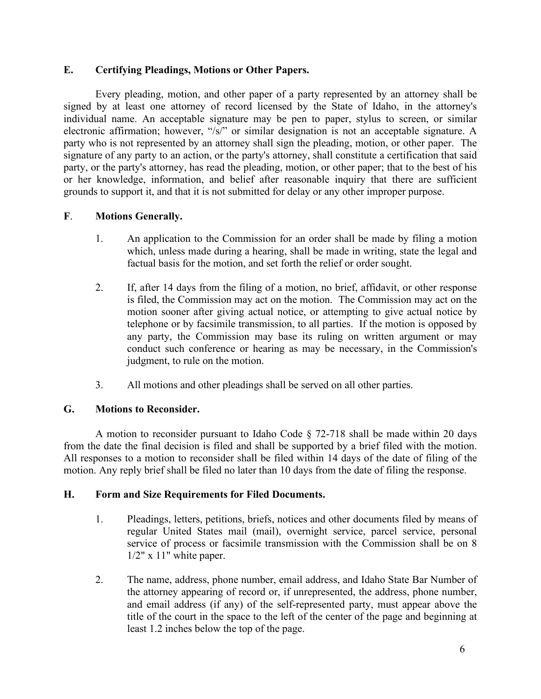# **E. Certifying Pleadings, Motions or Other Papers.**

Every pleading, motion, and other paper of a party represented by an attorney shall be signed by at least one attorney of record licensed by the State of Idaho, in the attorney's individual name. An acceptable signature may be pen to paper, stylus to screen, or similar electronic affirmation; however, "/s/" or similar designation is not an acceptable signature. A party who is not represented by an attorney shall sign the pleading, motion, or other paper. The signature of any party to an action, or the party's attorney, shall constitute a certification that said party, or the party's attorney, has read the pleading, motion, or other paper; that to the best of his or her knowledge, information, and belief after reasonable inquiry that there are sufficient grounds to support it, and that it is not submitted for delay or any other improper purpose.

# **F**. **Motions Generally.**

- 1. An application to the Commission for an order shall be made by filing a motion which, unless made during a hearing, shall be made in writing, state the legal and factual basis for the motion, and set forth the relief or order sought.
- 2. If, after 14 days from the filing of a motion, no brief, affidavit, or other response is filed, the Commission may act on the motion. The Commission may act on the motion sooner after giving actual notice, or attempting to give actual notice by telephone or by facsimile transmission, to all parties. If the motion is opposed by any party, the Commission may base its ruling on written argument or may conduct such conference or hearing as may be necessary, in the Commission's judgment, to rule on the motion.
- 3. All motions and other pleadings shall be served on all other parties.

# **G. Motions to Reconsider.**

A motion to reconsider pursuant to Idaho Code § 72-718 shall be made within 20 days from the date the final decision is filed and shall be supported by a brief filed with the motion. All responses to a motion to reconsider shall be filed within 14 days of the date of filing of the motion. Any reply brief shall be filed no later than 10 days from the date of filing the response.

# **H. Form and Size Requirements for Filed Documents.**

- 1. Pleadings, letters, petitions, briefs, notices and other documents filed by means of regular United States mail (mail), overnight service, parcel service, personal service of process or facsimile transmission with the Commission shall be on 8  $1/2$ " x  $11$ " white paper.
- 2. The name, address, phone number, email address, and Idaho State Bar Number of the attorney appearing of record or, if unrepresented, the address, phone number, and email address (if any) of the self-represented party, must appear above the title of the court in the space to the left of the center of the page and beginning at least 1.2 inches below the top of the page.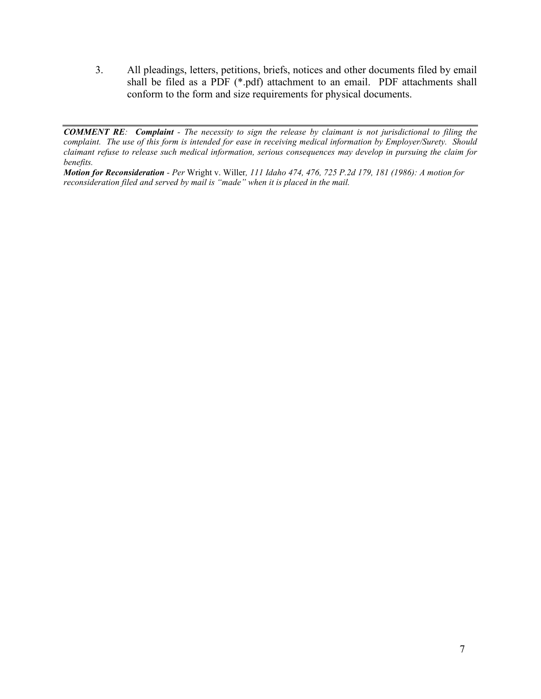3. All pleadings, letters, petitions, briefs, notices and other documents filed by email shall be filed as a PDF (\*.pdf) attachment to an email. PDF attachments shall conform to the form and size requirements for physical documents.

*Motion for Reconsideration - Per* Wright v. Willer*, 111 Idaho 474, 476, 725 P.2d 179, 181 (1986): A motion for reconsideration filed and served by mail is "made" when it is placed in the mail.*

*COMMENT RE: Complaint - The necessity to sign the release by claimant is not jurisdictional to filing the complaint. The use of this form is intended for ease in receiving medical information by Employer/Surety. Should claimant refuse to release such medical information, serious consequences may develop in pursuing the claim for benefits.*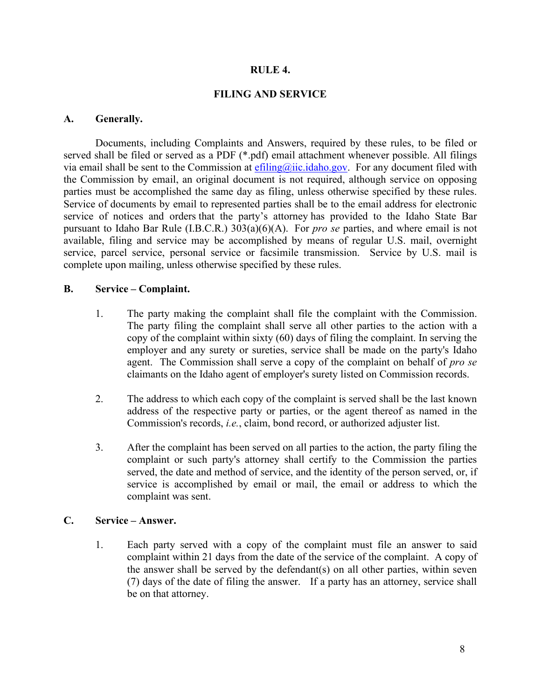### **RULE 4.**

### **FILING AND SERVICE**

### **A. Generally.**

Documents, including Complaints and Answers, required by these rules, to be filed or served shall be filed or served as a PDF (\*.pdf) email attachment whenever possible. All filings via email shall be sent to the Commission at  $\frac{\text{effling}(a)\text{lic.idaho.gov}}{\text{cylic.idaho.gov}}$ . For any document filed with the Commission by email, an original document is not required, although service on opposing parties must be accomplished the same day as filing, unless otherwise specified by these rules. Service of documents by email to represented parties shall be to the email address for electronic service of notices and orders that the party's attorney has provided to the Idaho State Bar pursuant to Idaho Bar Rule (I.B.C.R.) 303(a)(6)(A). For *pro se* parties, and where email is not available, filing and service may be accomplished by means of regular U.S. mail, overnight service, parcel service, personal service or facsimile transmission. Service by U.S. mail is complete upon mailing, unless otherwise specified by these rules.

### **B. Service – Complaint.**

- 1. The party making the complaint shall file the complaint with the Commission. The party filing the complaint shall serve all other parties to the action with a copy of the complaint within sixty (60) days of filing the complaint. In serving the employer and any surety or sureties, service shall be made on the party's Idaho agent. The Commission shall serve a copy of the complaint on behalf of *pro se* claimants on the Idaho agent of employer's surety listed on Commission records.
- 2. The address to which each copy of the complaint is served shall be the last known address of the respective party or parties, or the agent thereof as named in the Commission's records, *i.e.*, claim, bond record, or authorized adjuster list.
- 3. After the complaint has been served on all parties to the action, the party filing the complaint or such party's attorney shall certify to the Commission the parties served, the date and method of service, and the identity of the person served, or, if service is accomplished by email or mail, the email or address to which the complaint was sent.

# **C. Service – Answer.**

1. Each party served with a copy of the complaint must file an answer to said complaint within 21 days from the date of the service of the complaint. A copy of the answer shall be served by the defendant(s) on all other parties, within seven (7) days of the date of filing the answer. If a party has an attorney, service shall be on that attorney.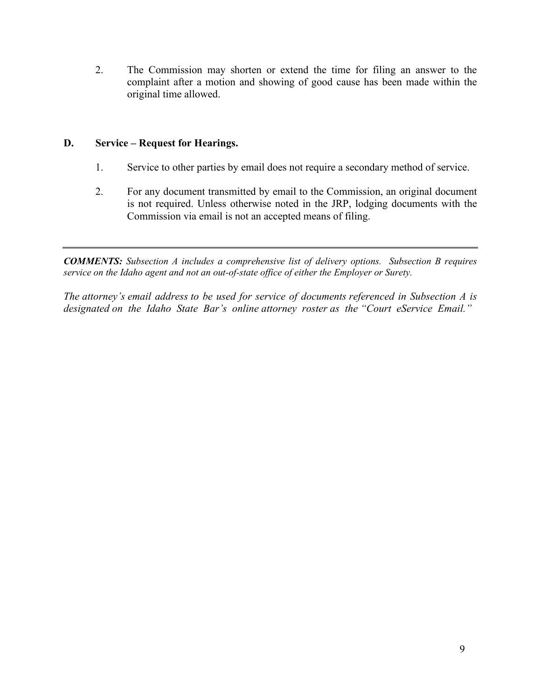2. The Commission may shorten or extend the time for filing an answer to the complaint after a motion and showing of good cause has been made within the original time allowed.

# **D. Service – Request for Hearings.**

- 1. Service to other parties by email does not require a secondary method of service.
- 2. For any document transmitted by email to the Commission, an original document is not required. Unless otherwise noted in the JRP, lodging documents with the Commission via email is not an accepted means of filing.

*COMMENTS: Subsection A includes a comprehensive list of delivery options. Subsection B requires service on the Idaho agent and not an out-of-state office of either the Employer or Surety.* 

*The attorney's email address to be used for service of documents referenced in Subsection A is designated on the Idaho State Bar's online attorney roster as the "Court eService Email."*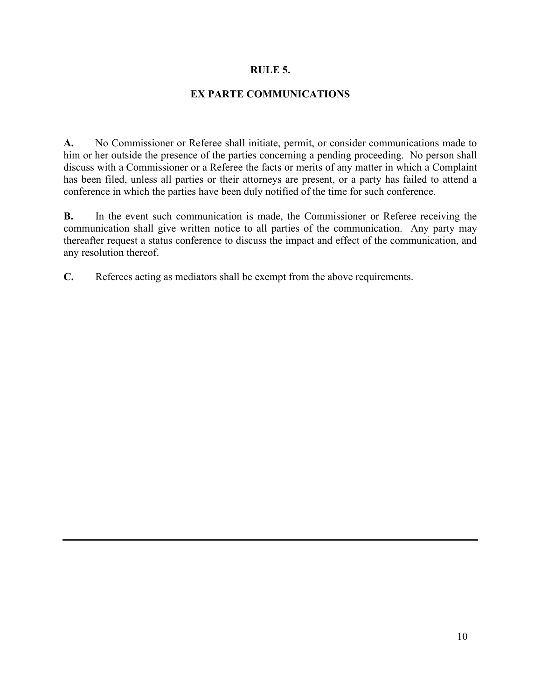### **RULE 5.**

### **EX PARTE COMMUNICATIONS**

**A.** No Commissioner or Referee shall initiate, permit, or consider communications made to him or her outside the presence of the parties concerning a pending proceeding. No person shall discuss with a Commissioner or a Referee the facts or merits of any matter in which a Complaint has been filed, unless all parties or their attorneys are present, or a party has failed to attend a conference in which the parties have been duly notified of the time for such conference.

**B.** In the event such communication is made, the Commissioner or Referee receiving the communication shall give written notice to all parties of the communication. Any party may thereafter request a status conference to discuss the impact and effect of the communication, and any resolution thereof.

**C.** Referees acting as mediators shall be exempt from the above requirements.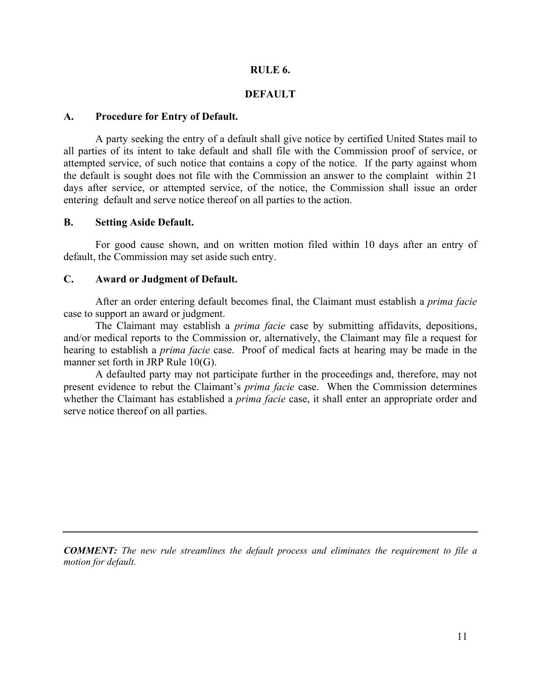### **RULE 6.**

### **DEFAULT**

### **A. Procedure for Entry of Default.**

A party seeking the entry of a default shall give notice by certified United States mail to all parties of its intent to take default and shall file with the Commission proof of service, or attempted service, of such notice that contains a copy of the notice. If the party against whom the default is sought does not file with the Commission an answer to the complaint within 21 days after service, or attempted service, of the notice, the Commission shall issue an order entering default and serve notice thereof on all parties to the action.

#### **B. Setting Aside Default.**

For good cause shown, and on written motion filed within 10 days after an entry of default, the Commission may set aside such entry.

### **C. Award or Judgment of Default.**

After an order entering default becomes final, the Claimant must establish a *prima facie* case to support an award or judgment.

The Claimant may establish a *prima facie* case by submitting affidavits, depositions, and/or medical reports to the Commission or, alternatively, the Claimant may file a request for hearing to establish a *prima facie* case. Proof of medical facts at hearing may be made in the manner set forth in JRP Rule 10(G).

A defaulted party may not participate further in the proceedings and, therefore, may not present evidence to rebut the Claimant's *prima facie* case. When the Commission determines whether the Claimant has established a *prima facie* case, it shall enter an appropriate order and serve notice thereof on all parties.

*COMMENT: The new rule streamlines the default process and eliminates the requirement to file a motion for default.*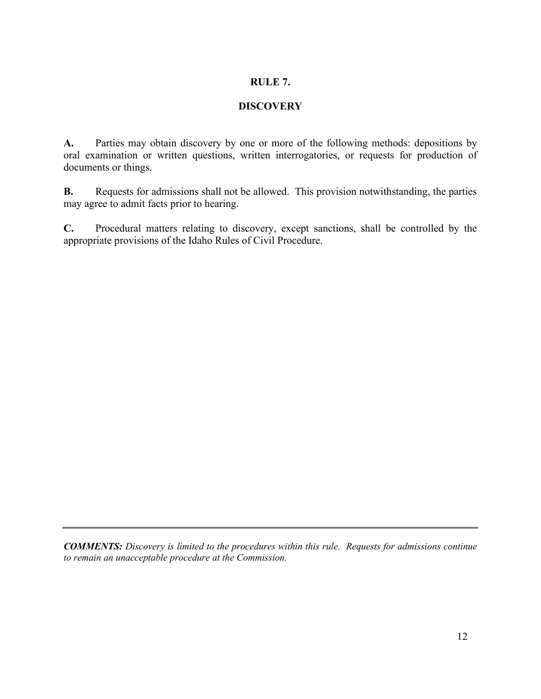# **RULE 7.**

# **DISCOVERY**

**A.** Parties may obtain discovery by one or more of the following methods: depositions by oral examination or written questions, written interrogatories, or requests for production of documents or things.

**B.** Requests for admissions shall not be allowed. This provision notwithstanding, the parties may agree to admit facts prior to hearing.

**C.** Procedural matters relating to discovery, except sanctions, shall be controlled by the appropriate provisions of the Idaho Rules of Civil Procedure.

*COMMENTS: Discovery is limited to the procedures within this rule. Requests for admissions continue to remain an unacceptable procedure at the Commission.*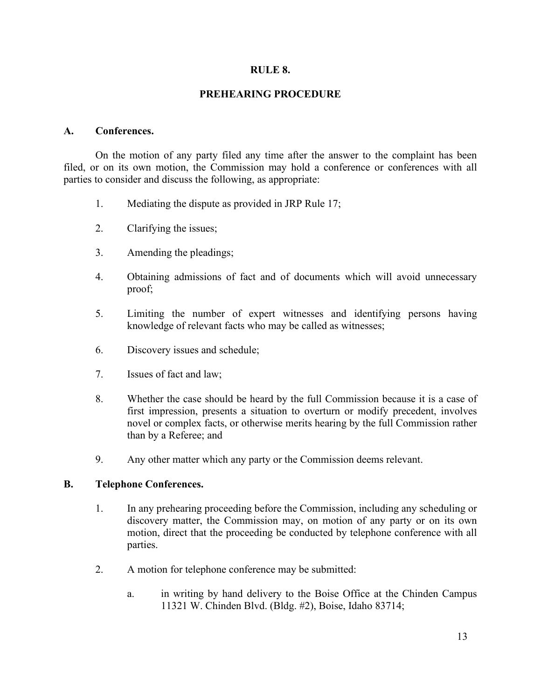### **RULE 8.**

### **PREHEARING PROCEDURE**

### **A. Conferences.**

On the motion of any party filed any time after the answer to the complaint has been filed, or on its own motion, the Commission may hold a conference or conferences with all parties to consider and discuss the following, as appropriate:

- 1. Mediating the dispute as provided in JRP Rule 17;
- 2. Clarifying the issues;
- 3. Amending the pleadings;
- 4. Obtaining admissions of fact and of documents which will avoid unnecessary proof;
- 5. Limiting the number of expert witnesses and identifying persons having knowledge of relevant facts who may be called as witnesses;
- 6. Discovery issues and schedule;
- 7. Issues of fact and law;
- 8. Whether the case should be heard by the full Commission because it is a case of first impression, presents a situation to overturn or modify precedent, involves novel or complex facts, or otherwise merits hearing by the full Commission rather than by a Referee; and
- 9. Any other matter which any party or the Commission deems relevant.

#### **B. Telephone Conferences.**

- 1. In any prehearing proceeding before the Commission, including any scheduling or discovery matter, the Commission may, on motion of any party or on its own motion, direct that the proceeding be conducted by telephone conference with all parties.
- 2. A motion for telephone conference may be submitted:
	- a. in writing by hand delivery to the Boise Office at the Chinden Campus 11321 W. Chinden Blvd. (Bldg. #2), Boise, Idaho 83714;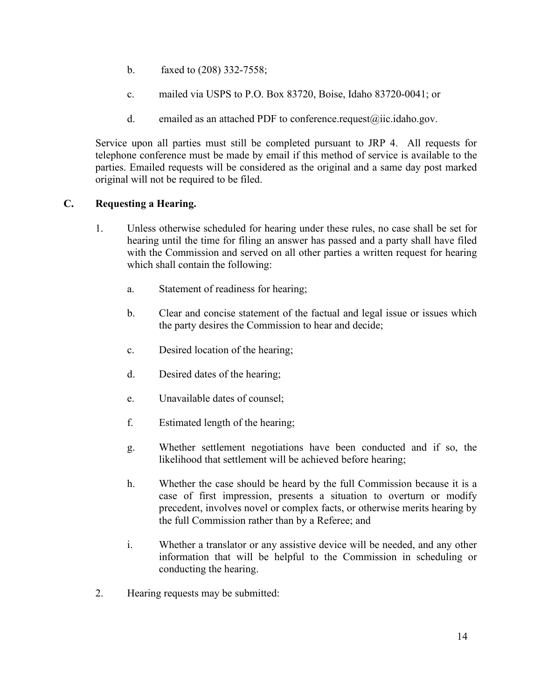- b. faxed to (208) 332-7558;
- c. mailed via USPS to P.O. Box 83720, Boise, Idaho 83720-0041; or
- d. emailed as an attached PDF to conference.request $(\partial \Omega)$ ic.idaho.gov.

Service upon all parties must still be completed pursuant to JRP 4. All requests for telephone conference must be made by email if this method of service is available to the parties. Emailed requests will be considered as the original and a same day post marked original will not be required to be filed.

# **C. Requesting a Hearing.**

- 1. Unless otherwise scheduled for hearing under these rules, no case shall be set for hearing until the time for filing an answer has passed and a party shall have filed with the Commission and served on all other parties a written request for hearing which shall contain the following:
	- a. Statement of readiness for hearing;
	- b. Clear and concise statement of the factual and legal issue or issues which the party desires the Commission to hear and decide;
	- c. Desired location of the hearing;
	- d. Desired dates of the hearing;
	- e. Unavailable dates of counsel;
	- f. Estimated length of the hearing;
	- g. Whether settlement negotiations have been conducted and if so, the likelihood that settlement will be achieved before hearing;
	- h. Whether the case should be heard by the full Commission because it is a case of first impression, presents a situation to overturn or modify precedent, involves novel or complex facts, or otherwise merits hearing by the full Commission rather than by a Referee; and
	- i. Whether a translator or any assistive device will be needed, and any other information that will be helpful to the Commission in scheduling or conducting the hearing.
- 2. Hearing requests may be submitted: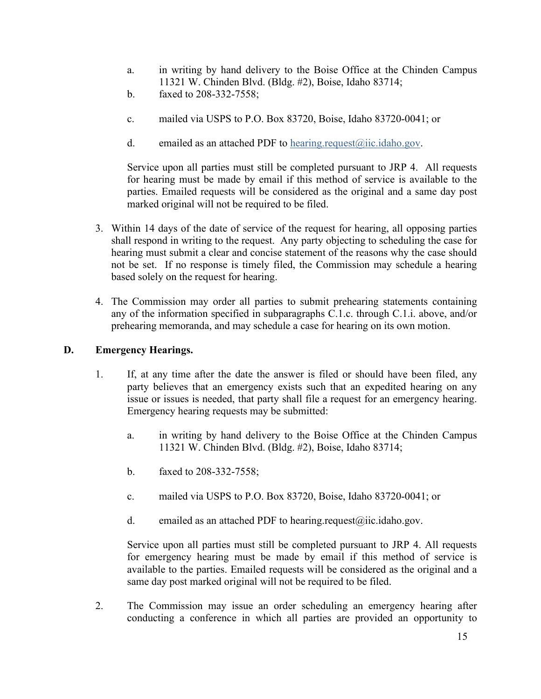- a. in writing by hand delivery to the Boise Office at the Chinden Campus 11321 W. Chinden Blvd. (Bldg. #2), Boise, Idaho 83714;
- b. faxed to 208-332-7558;
- c. mailed via USPS to P.O. Box 83720, Boise, Idaho 83720-0041; or
- d. emailed as an attached PDF to hearing.request $(\partial \Omega)$ iic.idaho.gov.

Service upon all parties must still be completed pursuant to JRP 4. All requests for hearing must be made by email if this method of service is available to the parties. Emailed requests will be considered as the original and a same day post marked original will not be required to be filed.

- 3. Within 14 days of the date of service of the request for hearing, all opposing parties shall respond in writing to the request. Any party objecting to scheduling the case for hearing must submit a clear and concise statement of the reasons why the case should not be set. If no response is timely filed, the Commission may schedule a hearing based solely on the request for hearing.
- 4. The Commission may order all parties to submit prehearing statements containing any of the information specified in subparagraphs C.1.c. through C.1.i. above, and/or prehearing memoranda, and may schedule a case for hearing on its own motion.

# **D. Emergency Hearings.**

- 1. If, at any time after the date the answer is filed or should have been filed, any party believes that an emergency exists such that an expedited hearing on any issue or issues is needed, that party shall file a request for an emergency hearing. Emergency hearing requests may be submitted:
	- a. in writing by hand delivery to the Boise Office at the Chinden Campus 11321 W. Chinden Blvd. (Bldg. #2), Boise, Idaho 83714;
	- b. faxed to 208-332-7558;
	- c. mailed via USPS to P.O. Box 83720, Boise, Idaho 83720-0041; or
	- d. emailed as an attached PDF to hearing.request $(\hat{\omega})$ iic.idaho.gov.

Service upon all parties must still be completed pursuant to JRP 4. All requests for emergency hearing must be made by email if this method of service is available to the parties. Emailed requests will be considered as the original and a same day post marked original will not be required to be filed.

2. The Commission may issue an order scheduling an emergency hearing after conducting a conference in which all parties are provided an opportunity to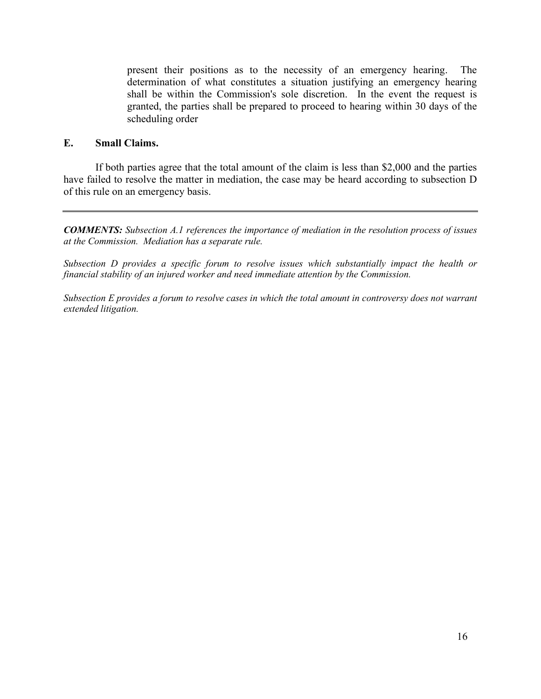present their positions as to the necessity of an emergency hearing. The determination of what constitutes a situation justifying an emergency hearing shall be within the Commission's sole discretion. In the event the request is granted, the parties shall be prepared to proceed to hearing within 30 days of the scheduling order

### **E. Small Claims.**

If both parties agree that the total amount of the claim is less than \$2,000 and the parties have failed to resolve the matter in mediation, the case may be heard according to subsection D of this rule on an emergency basis.

*COMMENTS: Subsection A.1 references the importance of mediation in the resolution process of issues at the Commission. Mediation has a separate rule.* 

*Subsection D provides a specific forum to resolve issues which substantially impact the health or financial stability of an injured worker and need immediate attention by the Commission.* 

*Subsection E provides a forum to resolve cases in which the total amount in controversy does not warrant extended litigation.*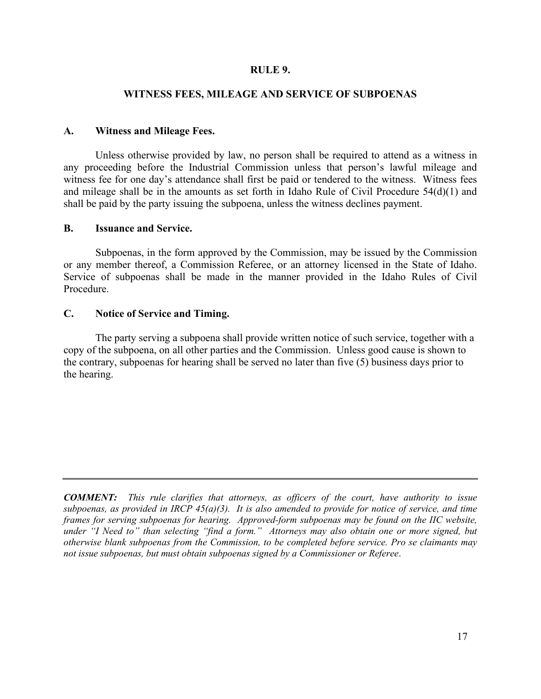### **RULE 9.**

### **WITNESS FEES, MILEAGE AND SERVICE OF SUBPOENAS**

### **A. Witness and Mileage Fees.**

Unless otherwise provided by law, no person shall be required to attend as a witness in any proceeding before the Industrial Commission unless that person's lawful mileage and witness fee for one day's attendance shall first be paid or tendered to the witness. Witness fees and mileage shall be in the amounts as set forth in Idaho Rule of Civil Procedure 54(d)(1) and shall be paid by the party issuing the subpoena, unless the witness declines payment.

### **B. Issuance and Service.**

Subpoenas, in the form approved by the Commission, may be issued by the Commission or any member thereof, a Commission Referee, or an attorney licensed in the State of Idaho. Service of subpoenas shall be made in the manner provided in the Idaho Rules of Civil Procedure.

### **C. Notice of Service and Timing.**

The party serving a subpoena shall provide written notice of such service, together with a copy of the subpoena, on all other parties and the Commission. Unless good cause is shown to the contrary, subpoenas for hearing shall be served no later than five (5) business days prior to the hearing.

*COMMENT: This rule clarifies that attorneys, as officers of the court, have authority to issue subpoenas, as provided in IRCP 45(a)(3). It is also amended to provide for notice of service, and time frames for serving subpoenas for hearing. Approved-form subpoenas may be found on the IIC website, under "I Need to" than selecting "find a form." Attorneys may also obtain one or more signed, but otherwise blank subpoenas from the Commission, to be completed before service. Pro se claimants may not issue subpoenas, but must obtain subpoenas signed by a Commissioner or Referee*.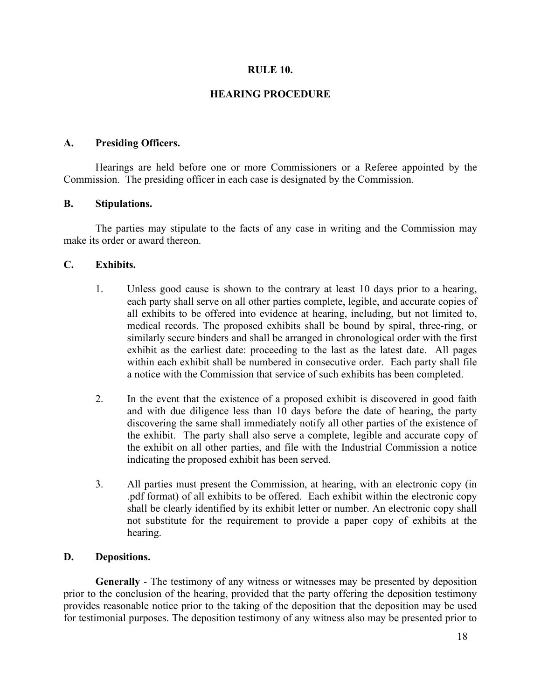### **RULE 10.**

### **HEARING PROCEDURE**

### **A. Presiding Officers.**

Hearings are held before one or more Commissioners or a Referee appointed by the Commission. The presiding officer in each case is designated by the Commission.

### **B. Stipulations.**

The parties may stipulate to the facts of any case in writing and the Commission may make its order or award thereon.

### **C. Exhibits.**

- 1. Unless good cause is shown to the contrary at least 10 days prior to a hearing, each party shall serve on all other parties complete, legible, and accurate copies of all exhibits to be offered into evidence at hearing, including, but not limited to, medical records. The proposed exhibits shall be bound by spiral, three-ring, or similarly secure binders and shall be arranged in chronological order with the first exhibit as the earliest date: proceeding to the last as the latest date. All pages within each exhibit shall be numbered in consecutive order. Each party shall file a notice with the Commission that service of such exhibits has been completed.
- 2. In the event that the existence of a proposed exhibit is discovered in good faith and with due diligence less than 10 days before the date of hearing, the party discovering the same shall immediately notify all other parties of the existence of the exhibit. The party shall also serve a complete, legible and accurate copy of the exhibit on all other parties, and file with the Industrial Commission a notice indicating the proposed exhibit has been served.
- 3. All parties must present the Commission, at hearing, with an electronic copy (in .pdf format) of all exhibits to be offered. Each exhibit within the electronic copy shall be clearly identified by its exhibit letter or number. An electronic copy shall not substitute for the requirement to provide a paper copy of exhibits at the hearing.

#### **D. Depositions.**

**Generally** - The testimony of any witness or witnesses may be presented by deposition prior to the conclusion of the hearing, provided that the party offering the deposition testimony provides reasonable notice prior to the taking of the deposition that the deposition may be used for testimonial purposes. The deposition testimony of any witness also may be presented prior to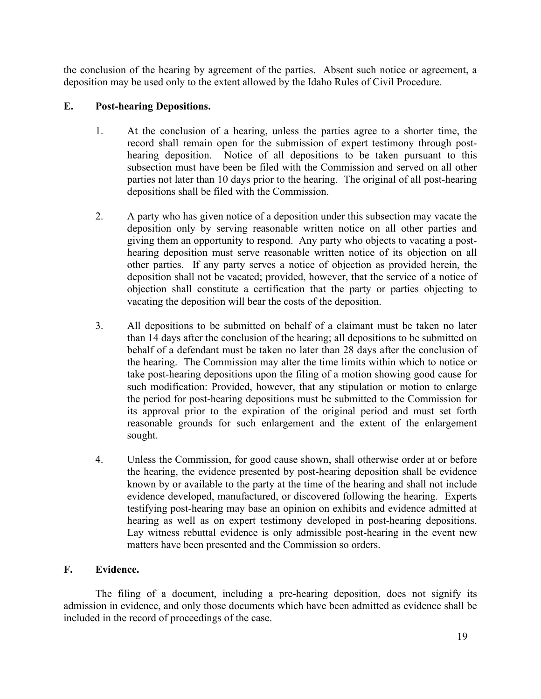the conclusion of the hearing by agreement of the parties. Absent such notice or agreement, a deposition may be used only to the extent allowed by the Idaho Rules of Civil Procedure.

# **E. Post-hearing Depositions.**

- 1. At the conclusion of a hearing, unless the parties agree to a shorter time, the record shall remain open for the submission of expert testimony through posthearing deposition. Notice of all depositions to be taken pursuant to this subsection must have been be filed with the Commission and served on all other parties not later than 10 days prior to the hearing. The original of all post-hearing depositions shall be filed with the Commission.
- 2. A party who has given notice of a deposition under this subsection may vacate the deposition only by serving reasonable written notice on all other parties and giving them an opportunity to respond. Any party who objects to vacating a posthearing deposition must serve reasonable written notice of its objection on all other parties. If any party serves a notice of objection as provided herein, the deposition shall not be vacated; provided, however, that the service of a notice of objection shall constitute a certification that the party or parties objecting to vacating the deposition will bear the costs of the deposition.
- 3. All depositions to be submitted on behalf of a claimant must be taken no later than 14 days after the conclusion of the hearing; all depositions to be submitted on behalf of a defendant must be taken no later than 28 days after the conclusion of the hearing. The Commission may alter the time limits within which to notice or take post-hearing depositions upon the filing of a motion showing good cause for such modification: Provided, however, that any stipulation or motion to enlarge the period for post-hearing depositions must be submitted to the Commission for its approval prior to the expiration of the original period and must set forth reasonable grounds for such enlargement and the extent of the enlargement sought.
- 4. Unless the Commission, for good cause shown, shall otherwise order at or before the hearing, the evidence presented by post-hearing deposition shall be evidence known by or available to the party at the time of the hearing and shall not include evidence developed, manufactured, or discovered following the hearing. Experts testifying post-hearing may base an opinion on exhibits and evidence admitted at hearing as well as on expert testimony developed in post-hearing depositions. Lay witness rebuttal evidence is only admissible post-hearing in the event new matters have been presented and the Commission so orders.

# **F. Evidence.**

The filing of a document, including a pre-hearing deposition, does not signify its admission in evidence, and only those documents which have been admitted as evidence shall be included in the record of proceedings of the case.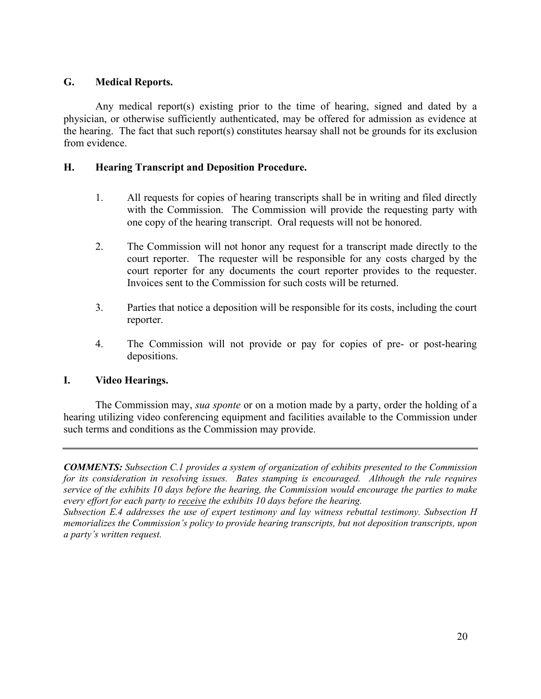# **G. Medical Reports.**

Any medical report(s) existing prior to the time of hearing, signed and dated by a physician, or otherwise sufficiently authenticated, may be offered for admission as evidence at the hearing. The fact that such report(s) constitutes hearsay shall not be grounds for its exclusion from evidence.

# **H. Hearing Transcript and Deposition Procedure.**

- 1. All requests for copies of hearing transcripts shall be in writing and filed directly with the Commission. The Commission will provide the requesting party with one copy of the hearing transcript. Oral requests will not be honored.
- 2. The Commission will not honor any request for a transcript made directly to the court reporter. The requester will be responsible for any costs charged by the court reporter for any documents the court reporter provides to the requester. Invoices sent to the Commission for such costs will be returned.
- 3. Parties that notice a deposition will be responsible for its costs, including the court reporter.
- 4. The Commission will not provide or pay for copies of pre- or post-hearing depositions.

### **I. Video Hearings.**

The Commission may, *sua sponte* or on a motion made by a party, order the holding of a hearing utilizing video conferencing equipment and facilities available to the Commission under such terms and conditions as the Commission may provide.

*COMMENTS: Subsection C.1 provides a system of organization of exhibits presented to the Commission for its consideration in resolving issues. Bates stamping is encouraged. Although the rule requires service of the exhibits 10 days before the hearing, the Commission would encourage the parties to make every effort for each party to receive the exhibits 10 days before the hearing.*

*Subsection E.4 addresses the use of expert testimony and lay witness rebuttal testimony. Subsection H memorializes the Commission's policy to provide hearing transcripts, but not deposition transcripts, upon a party's written request.*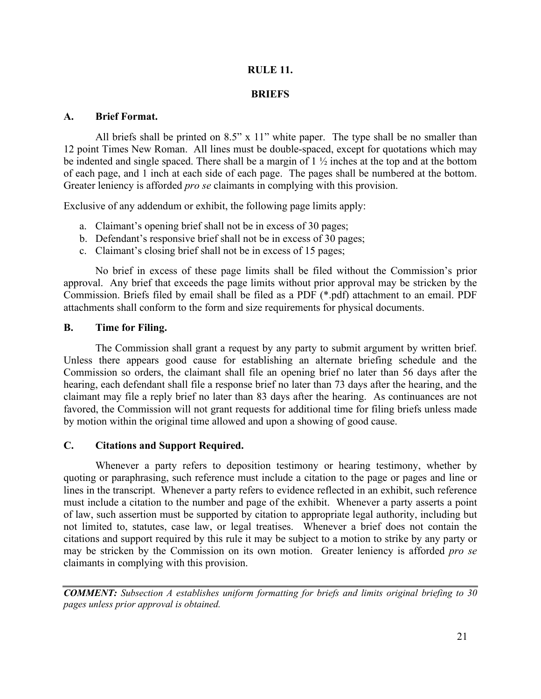# **RULE 11.**

### **BRIEFS**

### **A. Brief Format.**

All briefs shall be printed on 8.5" x 11" white paper. The type shall be no smaller than 12 point Times New Roman. All lines must be double-spaced, except for quotations which may be indented and single spaced. There shall be a margin of 1 ½ inches at the top and at the bottom of each page, and 1 inch at each side of each page. The pages shall be numbered at the bottom. Greater leniency is afforded *pro se* claimants in complying with this provision.

Exclusive of any addendum or exhibit, the following page limits apply:

- a. Claimant's opening brief shall not be in excess of 30 pages;
- b. Defendant's responsive brief shall not be in excess of 30 pages;
- c. Claimant's closing brief shall not be in excess of 15 pages;

No brief in excess of these page limits shall be filed without the Commission's prior approval. Any brief that exceeds the page limits without prior approval may be stricken by the Commission. Briefs filed by email shall be filed as a PDF (\*.pdf) attachment to an email. PDF attachments shall conform to the form and size requirements for physical documents.

### **B. Time for Filing.**

The Commission shall grant a request by any party to submit argument by written brief. Unless there appears good cause for establishing an alternate briefing schedule and the Commission so orders, the claimant shall file an opening brief no later than 56 days after the hearing, each defendant shall file a response brief no later than 73 days after the hearing, and the claimant may file a reply brief no later than 83 days after the hearing. As continuances are not favored, the Commission will not grant requests for additional time for filing briefs unless made by motion within the original time allowed and upon a showing of good cause.

### **C. Citations and Support Required.**

Whenever a party refers to deposition testimony or hearing testimony, whether by quoting or paraphrasing, such reference must include a citation to the page or pages and line or lines in the transcript. Whenever a party refers to evidence reflected in an exhibit, such reference must include a citation to the number and page of the exhibit. Whenever a party asserts a point of law, such assertion must be supported by citation to appropriate legal authority, including but not limited to, statutes, case law, or legal treatises. Whenever a brief does not contain the citations and support required by this rule it may be subject to a motion to strike by any party or may be stricken by the Commission on its own motion. Greater leniency is afforded *pro se* claimants in complying with this provision.

*COMMENT: Subsection A establishes uniform formatting for briefs and limits original briefing to 30 pages unless prior approval is obtained.*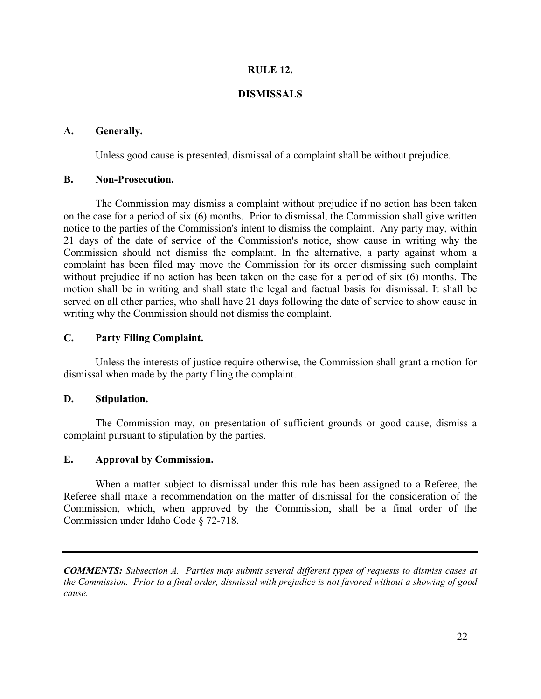### **RULE 12.**

### **DISMISSALS**

### **A. Generally.**

Unless good cause is presented, dismissal of a complaint shall be without prejudice.

### **B. Non-Prosecution.**

The Commission may dismiss a complaint without prejudice if no action has been taken on the case for a period of six (6) months. Prior to dismissal, the Commission shall give written notice to the parties of the Commission's intent to dismiss the complaint. Any party may, within 21 days of the date of service of the Commission's notice, show cause in writing why the Commission should not dismiss the complaint. In the alternative, a party against whom a complaint has been filed may move the Commission for its order dismissing such complaint without prejudice if no action has been taken on the case for a period of six (6) months. The motion shall be in writing and shall state the legal and factual basis for dismissal. It shall be served on all other parties, who shall have 21 days following the date of service to show cause in writing why the Commission should not dismiss the complaint.

### **C. Party Filing Complaint.**

Unless the interests of justice require otherwise, the Commission shall grant a motion for dismissal when made by the party filing the complaint.

### **D. Stipulation.**

The Commission may, on presentation of sufficient grounds or good cause, dismiss a complaint pursuant to stipulation by the parties.

### **E. Approval by Commission.**

When a matter subject to dismissal under this rule has been assigned to a Referee, the Referee shall make a recommendation on the matter of dismissal for the consideration of the Commission, which, when approved by the Commission, shall be a final order of the Commission under Idaho Code § 72-718.

*COMMENTS: Subsection A. Parties may submit several different types of requests to dismiss cases at the Commission. Prior to a final order, dismissal with prejudice is not favored without a showing of good cause.*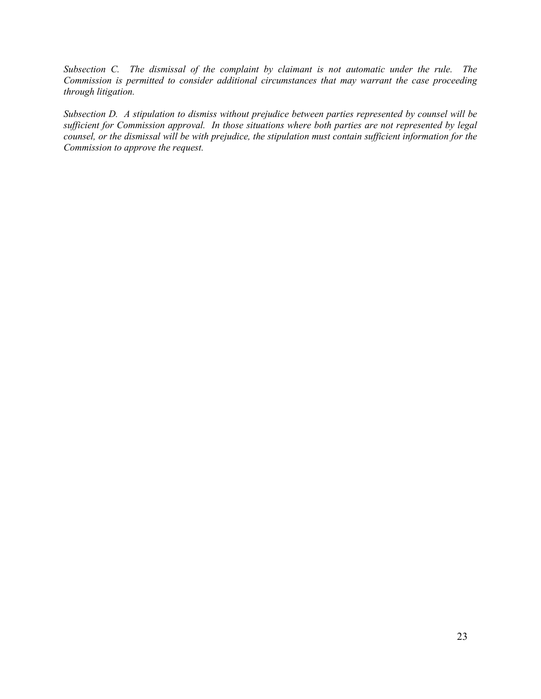*Subsection C. The dismissal of the complaint by claimant is not automatic under the rule. The Commission is permitted to consider additional circumstances that may warrant the case proceeding through litigation.*

*Subsection D. A stipulation to dismiss without prejudice between parties represented by counsel will be sufficient for Commission approval. In those situations where both parties are not represented by legal counsel, or the dismissal will be with prejudice, the stipulation must contain sufficient information for the Commission to approve the request.*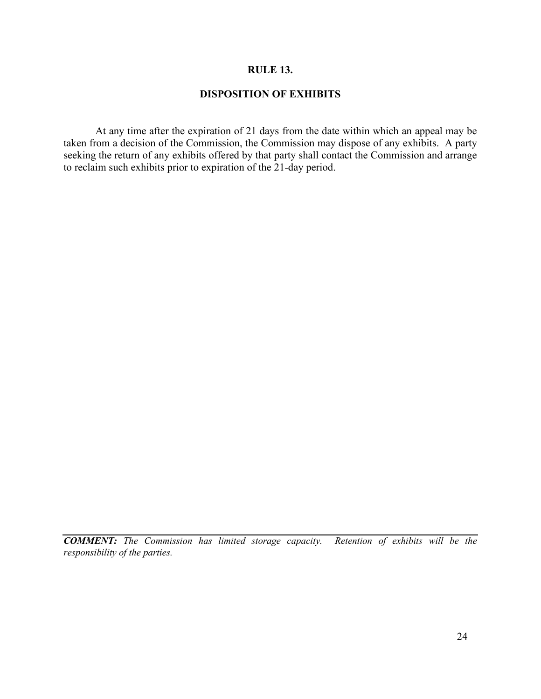### **RULE 13.**

# **DISPOSITION OF EXHIBITS**

At any time after the expiration of 21 days from the date within which an appeal may be taken from a decision of the Commission, the Commission may dispose of any exhibits. A party seeking the return of any exhibits offered by that party shall contact the Commission and arrange to reclaim such exhibits prior to expiration of the 21-day period.

*COMMENT: The Commission has limited storage capacity. Retention of exhibits will be the responsibility of the parties.*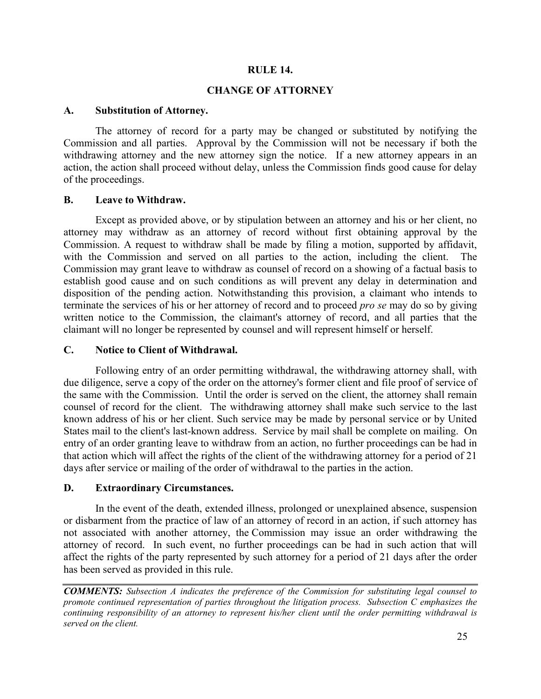### **RULE 14.**

### **CHANGE OF ATTORNEY**

### **A. Substitution of Attorney.**

The attorney of record for a party may be changed or substituted by notifying the Commission and all parties. Approval by the Commission will not be necessary if both the withdrawing attorney and the new attorney sign the notice. If a new attorney appears in an action, the action shall proceed without delay, unless the Commission finds good cause for delay of the proceedings.

### **B. Leave to Withdraw.**

Except as provided above, or by stipulation between an attorney and his or her client, no attorney may withdraw as an attorney of record without first obtaining approval by the Commission. A request to withdraw shall be made by filing a motion, supported by affidavit, with the Commission and served on all parties to the action, including the client. The Commission may grant leave to withdraw as counsel of record on a showing of a factual basis to establish good cause and on such conditions as will prevent any delay in determination and disposition of the pending action. Notwithstanding this provision, a claimant who intends to terminate the services of his or her attorney of record and to proceed *pro se* may do so by giving written notice to the Commission, the claimant's attorney of record, and all parties that the claimant will no longer be represented by counsel and will represent himself or herself.

### **C. Notice to Client of Withdrawal.**

Following entry of an order permitting withdrawal, the withdrawing attorney shall, with due diligence, serve a copy of the order on the attorney's former client and file proof of service of the same with the Commission. Until the order is served on the client, the attorney shall remain counsel of record for the client. The withdrawing attorney shall make such service to the last known address of his or her client. Such service may be made by personal service or by United States mail to the client's last-known address. Service by mail shall be complete on mailing. On entry of an order granting leave to withdraw from an action, no further proceedings can be had in that action which will affect the rights of the client of the withdrawing attorney for a period of 21 days after service or mailing of the order of withdrawal to the parties in the action.

### **D. Extraordinary Circumstances.**

In the event of the death, extended illness, prolonged or unexplained absence, suspension or disbarment from the practice of law of an attorney of record in an action, if such attorney has not associated with another attorney, the Commission may issue an order withdrawing the attorney of record. In such event, no further proceedings can be had in such action that will affect the rights of the party represented by such attorney for a period of 21 days after the order has been served as provided in this rule.

*COMMENTS: Subsection A indicates the preference of the Commission for substituting legal counsel to promote continued representation of parties throughout the litigation process. Subsection C emphasizes the continuing responsibility of an attorney to represent his/her client until the order permitting withdrawal is served on the client.*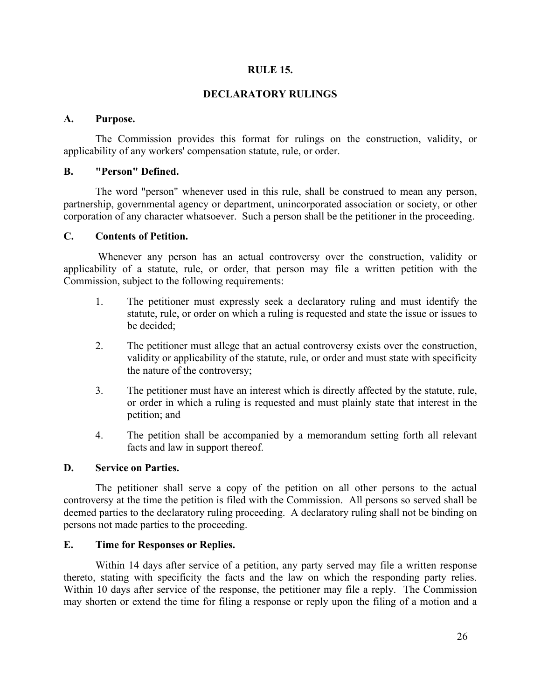### **RULE 15.**

### **DECLARATORY RULINGS**

### **A. Purpose.**

The Commission provides this format for rulings on the construction, validity, or applicability of any workers' compensation statute, rule, or order.

### **B. "Person" Defined.**

The word "person" whenever used in this rule, shall be construed to mean any person, partnership, governmental agency or department, unincorporated association or society, or other corporation of any character whatsoever. Such a person shall be the petitioner in the proceeding.

### **C. Contents of Petition.**

Whenever any person has an actual controversy over the construction, validity or applicability of a statute, rule, or order, that person may file a written petition with the Commission, subject to the following requirements:

- 1. The petitioner must expressly seek a declaratory ruling and must identify the statute, rule, or order on which a ruling is requested and state the issue or issues to be decided;
- 2. The petitioner must allege that an actual controversy exists over the construction, validity or applicability of the statute, rule, or order and must state with specificity the nature of the controversy;
- 3. The petitioner must have an interest which is directly affected by the statute, rule, or order in which a ruling is requested and must plainly state that interest in the petition; and
- 4. The petition shall be accompanied by a memorandum setting forth all relevant facts and law in support thereof.

## **D. Service on Parties.**

The petitioner shall serve a copy of the petition on all other persons to the actual controversy at the time the petition is filed with the Commission. All persons so served shall be deemed parties to the declaratory ruling proceeding. A declaratory ruling shall not be binding on persons not made parties to the proceeding.

## **E. Time for Responses or Replies.**

Within 14 days after service of a petition, any party served may file a written response thereto, stating with specificity the facts and the law on which the responding party relies. Within 10 days after service of the response, the petitioner may file a reply. The Commission may shorten or extend the time for filing a response or reply upon the filing of a motion and a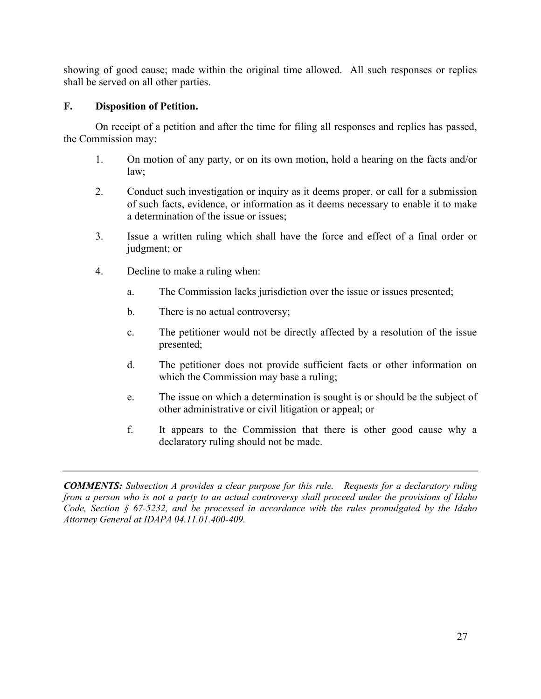showing of good cause; made within the original time allowed. All such responses or replies shall be served on all other parties.

# **F. Disposition of Petition.**

On receipt of a petition and after the time for filing all responses and replies has passed, the Commission may:

- 1. On motion of any party, or on its own motion, hold a hearing on the facts and/or law;
- 2. Conduct such investigation or inquiry as it deems proper, or call for a submission of such facts, evidence, or information as it deems necessary to enable it to make a determination of the issue or issues;
- 3. Issue a written ruling which shall have the force and effect of a final order or judgment; or
- 4. Decline to make a ruling when:
	- a. The Commission lacks jurisdiction over the issue or issues presented;
	- b. There is no actual controversy;
	- c. The petitioner would not be directly affected by a resolution of the issue presented;
	- d. The petitioner does not provide sufficient facts or other information on which the Commission may base a ruling;
	- e. The issue on which a determination is sought is or should be the subject of other administrative or civil litigation or appeal; or
	- f. It appears to the Commission that there is other good cause why a declaratory ruling should not be made.

*COMMENTS: Subsection A provides a clear purpose for this rule. Requests for a declaratory ruling from a person who is not a party to an actual controversy shall proceed under the provisions of Idaho Code, Section § 67-5232, and be processed in accordance with the rules promulgated by the Idaho Attorney General at IDAPA 04.11.01.400-409.*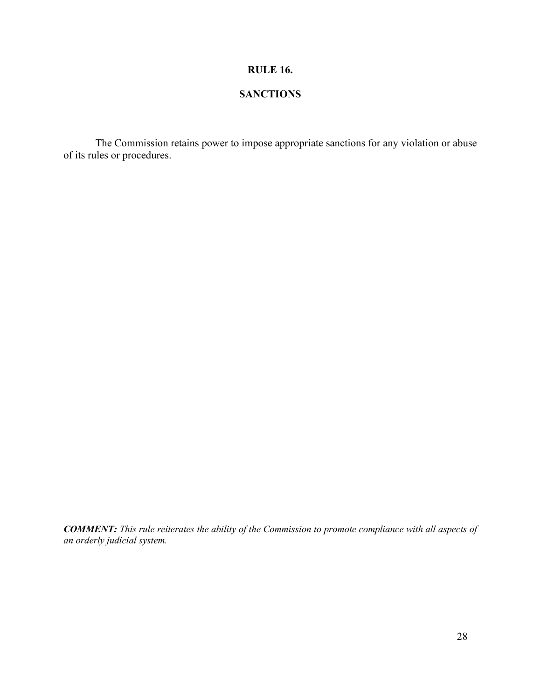# **RULE 16.**

# **SANCTIONS**

The Commission retains power to impose appropriate sanctions for any violation or abuse of its rules or procedures.

*COMMENT: This rule reiterates the ability of the Commission to promote compliance with all aspects of an orderly judicial system.*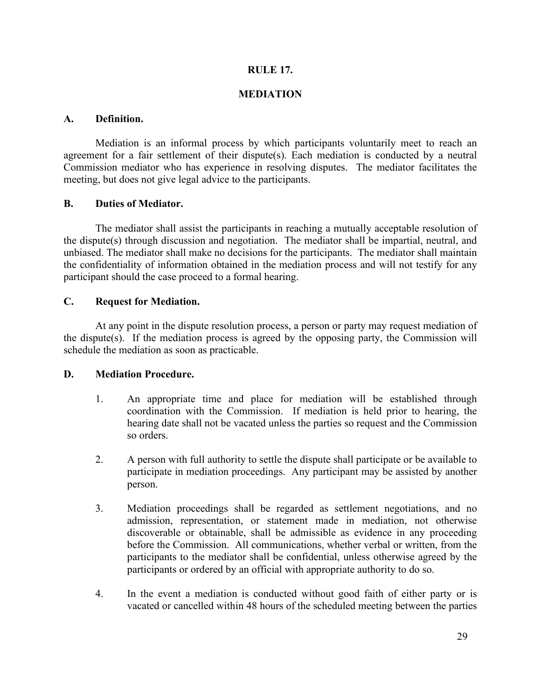## **RULE 17.**

# **MEDIATION**

# **A. Definition.**

Mediation is an informal process by which participants voluntarily meet to reach an agreement for a fair settlement of their dispute(s). Each mediation is conducted by a neutral Commission mediator who has experience in resolving disputes. The mediator facilitates the meeting, but does not give legal advice to the participants.

# **B. Duties of Mediator.**

The mediator shall assist the participants in reaching a mutually acceptable resolution of the dispute(s) through discussion and negotiation. The mediator shall be impartial, neutral, and unbiased. The mediator shall make no decisions for the participants. The mediator shall maintain the confidentiality of information obtained in the mediation process and will not testify for any participant should the case proceed to a formal hearing.

# **C. Request for Mediation.**

At any point in the dispute resolution process, a person or party may request mediation of the dispute(s). If the mediation process is agreed by the opposing party, the Commission will schedule the mediation as soon as practicable.

### **D. Mediation Procedure.**

- 1. An appropriate time and place for mediation will be established through coordination with the Commission. If mediation is held prior to hearing, the hearing date shall not be vacated unless the parties so request and the Commission so orders.
- 2. A person with full authority to settle the dispute shall participate or be available to participate in mediation proceedings. Any participant may be assisted by another person.
- 3. Mediation proceedings shall be regarded as settlement negotiations, and no admission, representation, or statement made in mediation, not otherwise discoverable or obtainable, shall be admissible as evidence in any proceeding before the Commission. All communications, whether verbal or written, from the participants to the mediator shall be confidential, unless otherwise agreed by the participants or ordered by an official with appropriate authority to do so.
- 4. In the event a mediation is conducted without good faith of either party or is vacated or cancelled within 48 hours of the scheduled meeting between the parties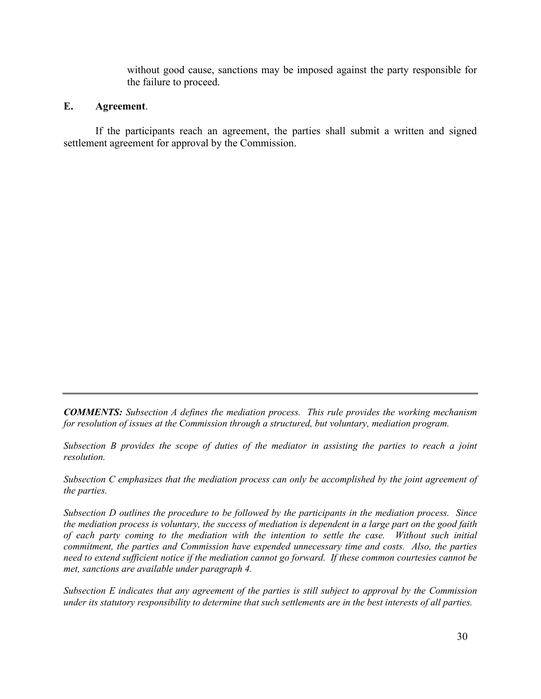without good cause, sanctions may be imposed against the party responsible for the failure to proceed.

### **E. Agreement**.

If the participants reach an agreement, the parties shall submit a written and signed settlement agreement for approval by the Commission.

*COMMENTS: Subsection A defines the mediation process. This rule provides the working mechanism for resolution of issues at the Commission through a structured, but voluntary, mediation program.* 

*Subsection B provides the scope of duties of the mediator in assisting the parties to reach a joint resolution.* 

*Subsection C emphasizes that the mediation process can only be accomplished by the joint agreement of the parties.*

*Subsection D outlines the procedure to be followed by the participants in the mediation process. Since the mediation process is voluntary, the success of mediation is dependent in a large part on the good faith of each party coming to the mediation with the intention to settle the case. Without such initial commitment, the parties and Commission have expended unnecessary time and costs. Also, the parties need to extend sufficient notice if the mediation cannot go forward. If these common courtesies cannot be met, sanctions are available under paragraph 4.* 

*Subsection E indicates that any agreement of the parties is still subject to approval by the Commission under its statutory responsibility to determine that such settlements are in the best interests of all parties.*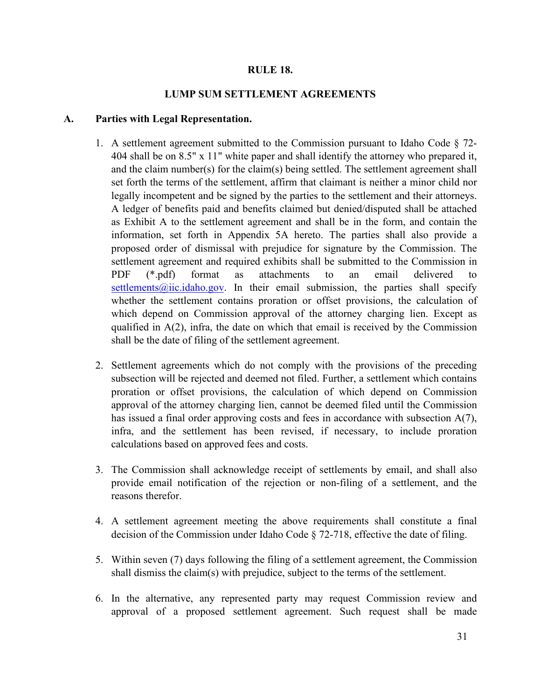### **RULE 18.**

### **LUMP SUM SETTLEMENT AGREEMENTS**

### **A. Parties with Legal Representation.**

- 1. A settlement agreement submitted to the Commission pursuant to Idaho Code § 72- 404 shall be on 8.5" x 11" white paper and shall identify the attorney who prepared it, and the claim number(s) for the claim(s) being settled. The settlement agreement shall set forth the terms of the settlement, affirm that claimant is neither a minor child nor legally incompetent and be signed by the parties to the settlement and their attorneys. A ledger of benefits paid and benefits claimed but denied/disputed shall be attached as Exhibit A to the settlement agreement and shall be in the form, and contain the information, set forth in Appendix 5A hereto. The parties shall also provide a proposed order of dismissal with prejudice for signature by the Commission. The settlement agreement and required exhibits shall be submitted to the Commission in PDF (\*.pdf) format as attachments to an email delivered to settlements $@i$ ic.idaho.gov. In their email submission, the parties shall specify whether the settlement contains proration or offset provisions, the calculation of which depend on Commission approval of the attorney charging lien. Except as qualified in  $A(2)$ , infra, the date on which that email is received by the Commission shall be the date of filing of the settlement agreement.
- 2. Settlement agreements which do not comply with the provisions of the preceding subsection will be rejected and deemed not filed. Further, a settlement which contains proration or offset provisions, the calculation of which depend on Commission approval of the attorney charging lien, cannot be deemed filed until the Commission has issued a final order approving costs and fees in accordance with subsection A(7), infra, and the settlement has been revised, if necessary, to include proration calculations based on approved fees and costs.
- 3. The Commission shall acknowledge receipt of settlements by email, and shall also provide email notification of the rejection or non-filing of a settlement, and the reasons therefor.
- 4. A settlement agreement meeting the above requirements shall constitute a final decision of the Commission under Idaho Code § 72-718, effective the date of filing.
- 5. Within seven (7) days following the filing of a settlement agreement, the Commission shall dismiss the claim(s) with prejudice, subject to the terms of the settlement.
- 6. In the alternative, any represented party may request Commission review and approval of a proposed settlement agreement. Such request shall be made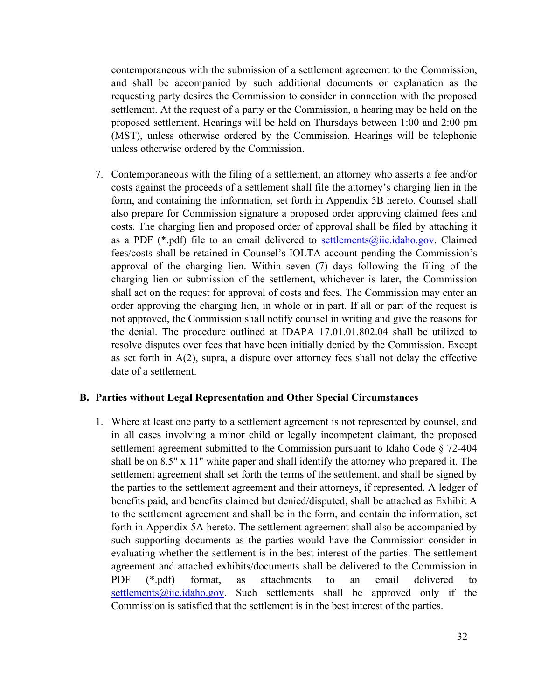contemporaneous with the submission of a settlement agreement to the Commission, and shall be accompanied by such additional documents or explanation as the requesting party desires the Commission to consider in connection with the proposed settlement. At the request of a party or the Commission, a hearing may be held on the proposed settlement. Hearings will be held on Thursdays between 1:00 and 2:00 pm (MST), unless otherwise ordered by the Commission. Hearings will be telephonic unless otherwise ordered by the Commission.

7. Contemporaneous with the filing of a settlement, an attorney who asserts a fee and/or costs against the proceeds of a settlement shall file the attorney's charging lien in the form, and containing the information, set forth in Appendix 5B hereto. Counsel shall also prepare for Commission signature a proposed order approving claimed fees and costs. The charging lien and proposed order of approval shall be filed by attaching it as a PDF (\*.pdf) file to an email delivered to [settlements@iic.idaho.gov.](mailto:settlements@iic.idaho.gov) Claimed fees/costs shall be retained in Counsel's IOLTA account pending the Commission's approval of the charging lien. Within seven (7) days following the filing of the charging lien or submission of the settlement, whichever is later, the Commission shall act on the request for approval of costs and fees. The Commission may enter an order approving the charging lien, in whole or in part. If all or part of the request is not approved, the Commission shall notify counsel in writing and give the reasons for the denial. The procedure outlined at IDAPA 17.01.01.802.04 shall be utilized to resolve disputes over fees that have been initially denied by the Commission. Except as set forth in A(2), supra, a dispute over attorney fees shall not delay the effective date of a settlement.

#### **B. Parties without Legal Representation and Other Special Circumstances**

1. Where at least one party to a settlement agreement is not represented by counsel, and in all cases involving a minor child or legally incompetent claimant, the proposed settlement agreement submitted to the Commission pursuant to Idaho Code § 72-404 shall be on 8.5" x 11" white paper and shall identify the attorney who prepared it. The settlement agreement shall set forth the terms of the settlement, and shall be signed by the parties to the settlement agreement and their attorneys, if represented. A ledger of benefits paid, and benefits claimed but denied/disputed, shall be attached as Exhibit A to the settlement agreement and shall be in the form, and contain the information, set forth in Appendix 5A hereto. The settlement agreement shall also be accompanied by such supporting documents as the parties would have the Commission consider in evaluating whether the settlement is in the best interest of the parties. The settlement agreement and attached exhibits/documents shall be delivered to the Commission in PDF (\*.pdf) format, as attachments to an email delivered to [settlements@iic.idaho.gov.](mailto:settlements@iic.idaho.gov) Such settlements shall be approved only if the Commission is satisfied that the settlement is in the best interest of the parties.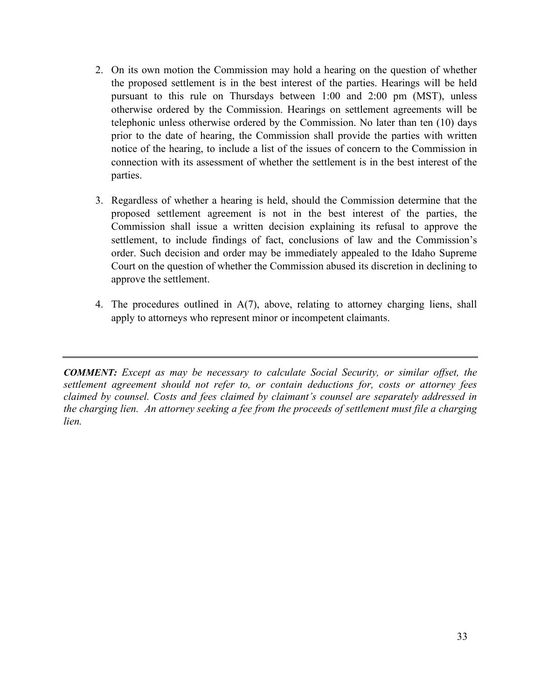- 2. On its own motion the Commission may hold a hearing on the question of whether the proposed settlement is in the best interest of the parties. Hearings will be held pursuant to this rule on Thursdays between 1:00 and 2:00 pm (MST), unless otherwise ordered by the Commission. Hearings on settlement agreements will be telephonic unless otherwise ordered by the Commission. No later than ten (10) days prior to the date of hearing, the Commission shall provide the parties with written notice of the hearing, to include a list of the issues of concern to the Commission in connection with its assessment of whether the settlement is in the best interest of the parties.
- 3. Regardless of whether a hearing is held, should the Commission determine that the proposed settlement agreement is not in the best interest of the parties, the Commission shall issue a written decision explaining its refusal to approve the settlement, to include findings of fact, conclusions of law and the Commission's order. Such decision and order may be immediately appealed to the Idaho Supreme Court on the question of whether the Commission abused its discretion in declining to approve the settlement.
- 4. The procedures outlined in A(7), above, relating to attorney charging liens, shall apply to attorneys who represent minor or incompetent claimants.

*COMMENT: Except as may be necessary to calculate Social Security, or similar offset, the settlement agreement should not refer to, or contain deductions for, costs or attorney fees claimed by counsel. Costs and fees claimed by claimant's counsel are separately addressed in the charging lien. An attorney seeking a fee from the proceeds of settlement must file a charging lien.*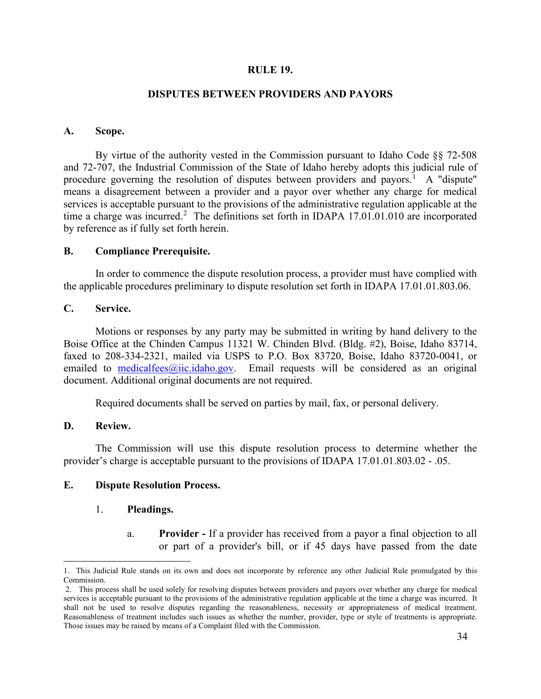### **RULE 19.**

### **DISPUTES BETWEEN PROVIDERS AND PAYORS**

### **A. Scope.**

By virtue of the authority vested in the Commission pursuant to Idaho Code §§ 72-508 and 72-707, the Industrial Commission of the State of Idaho hereby adopts this judicial rule of procedure governing the resolution of disputes between providers and payors.<sup>[1](#page-38-0)</sup> A "dispute" means a disagreement between a provider and a payor over whether any charge for medical services is acceptable pursuant to the provisions of the administrative regulation applicable at the time a charge was incurred.<sup>[2](#page-38-1)</sup> The definitions set forth in IDAPA  $17.01.01.010$  are incorporated by reference as if fully set forth herein.

### **B. Compliance Prerequisite.**

In order to commence the dispute resolution process, a provider must have complied with the applicable procedures preliminary to dispute resolution set forth in IDAPA 17.01.01.803.06.

### **C. Service.**

Motions or responses by any party may be submitted in writing by hand delivery to the Boise Office at the Chinden Campus 11321 W. Chinden Blvd. (Bldg. #2), Boise, Idaho 83714, faxed to 208-334-2321, mailed via USPS to P.O. Box 83720, Boise, Idaho 83720-0041, or emailed to [medicalfees@iic.idaho.gov.](mailto:medicalfees@iic.idaho.gov) Email requests will be considered as an original document. Additional original documents are not required.

Required documents shall be served on parties by mail, fax, or personal delivery.

#### **D. Review.**

The Commission will use this dispute resolution process to determine whether the provider's charge is acceptable pursuant to the provisions of IDAPA 17.01.01.803.02 - .05.

### **E. Dispute Resolution Process.**

#### 1. **Pleadings.**

a. **Provider -** If a provider has received from a payor a final objection to all or part of a provider's bill, or if 45 days have passed from the date

<span id="page-38-0"></span><sup>1.</sup> This Judicial Rule stands on its own and does not incorporate by reference any other Judicial Rule promulgated by this Commission.

<span id="page-38-1"></span><sup>2.</sup> This process shall be used solely for resolving disputes between providers and payors over whether any charge for medical services is acceptable pursuant to the provisions of the administrative regulation applicable at the time a charge was incurred. It shall not be used to resolve disputes regarding the reasonableness, necessity or appropriateness of medical treatment. Reasonableness of treatment includes such issues as whether the number, provider, type or style of treatments is appropriate. Those issues may be raised by means of a Complaint filed with the Commission.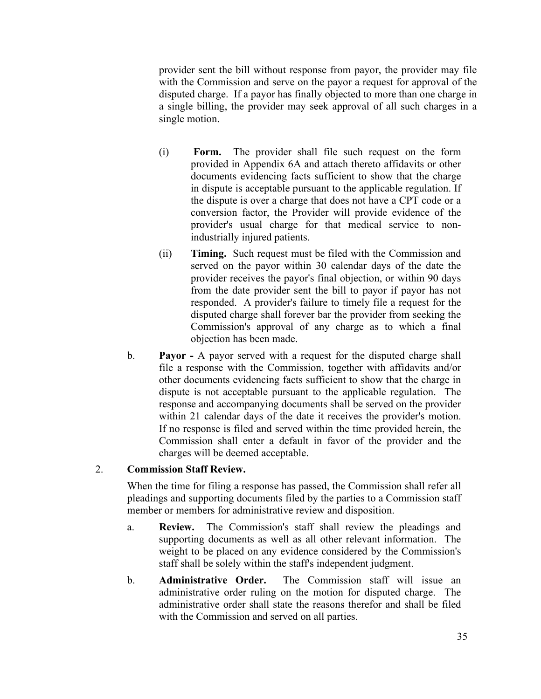provider sent the bill without response from payor, the provider may file with the Commission and serve on the payor a request for approval of the disputed charge. If a payor has finally objected to more than one charge in a single billing, the provider may seek approval of all such charges in a single motion.

- (i) **Form.** The provider shall file such request on the form provided in Appendix 6A and attach thereto affidavits or other documents evidencing facts sufficient to show that the charge in dispute is acceptable pursuant to the applicable regulation. If the dispute is over a charge that does not have a CPT code or a conversion factor, the Provider will provide evidence of the provider's usual charge for that medical service to nonindustrially injured patients.
- (ii) **Timing.** Such request must be filed with the Commission and served on the payor within 30 calendar days of the date the provider receives the payor's final objection, or within 90 days from the date provider sent the bill to payor if payor has not responded. A provider's failure to timely file a request for the disputed charge shall forever bar the provider from seeking the Commission's approval of any charge as to which a final objection has been made.
- b. **Payor -** A payor served with a request for the disputed charge shall file a response with the Commission, together with affidavits and/or other documents evidencing facts sufficient to show that the charge in dispute is not acceptable pursuant to the applicable regulation. The response and accompanying documents shall be served on the provider within 21 calendar days of the date it receives the provider's motion. If no response is filed and served within the time provided herein, the Commission shall enter a default in favor of the provider and the charges will be deemed acceptable.

# 2. **Commission Staff Review.**

When the time for filing a response has passed, the Commission shall refer all pleadings and supporting documents filed by the parties to a Commission staff member or members for administrative review and disposition.

- a. **Review.** The Commission's staff shall review the pleadings and supporting documents as well as all other relevant information. The weight to be placed on any evidence considered by the Commission's staff shall be solely within the staff's independent judgment.
- b. **Administrative Order.** The Commission staff will issue an administrative order ruling on the motion for disputed charge. The administrative order shall state the reasons therefor and shall be filed with the Commission and served on all parties.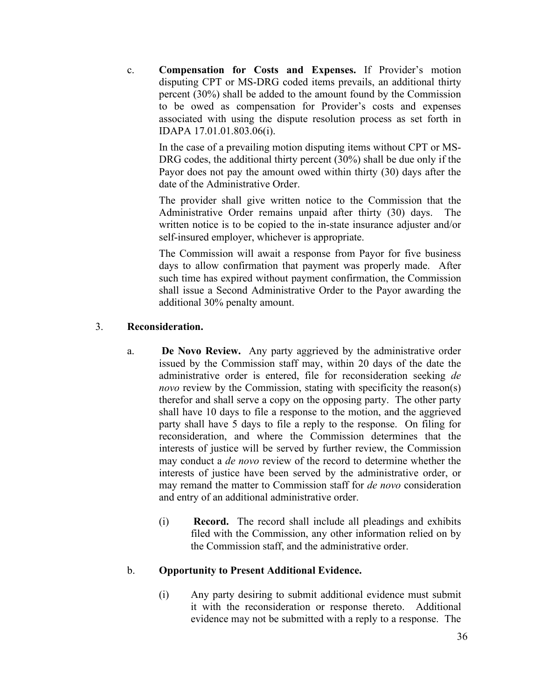c. **Compensation for Costs and Expenses.** If Provider's motion disputing CPT or MS-DRG coded items prevails, an additional thirty percent (30%) shall be added to the amount found by the Commission to be owed as compensation for Provider's costs and expenses associated with using the dispute resolution process as set forth in IDAPA 17.01.01.803.06(i).

In the case of a prevailing motion disputing items without CPT or MS-DRG codes, the additional thirty percent (30%) shall be due only if the Payor does not pay the amount owed within thirty (30) days after the date of the Administrative Order.

The provider shall give written notice to the Commission that the Administrative Order remains unpaid after thirty (30) days. The written notice is to be copied to the in-state insurance adjuster and/or self-insured employer, whichever is appropriate.

The Commission will await a response from Payor for five business days to allow confirmation that payment was properly made. After such time has expired without payment confirmation, the Commission shall issue a Second Administrative Order to the Payor awarding the additional 30% penalty amount.

# 3. **Reconsideration.**

- a. **De Novo Review.** Any party aggrieved by the administrative order issued by the Commission staff may, within 20 days of the date the administrative order is entered, file for reconsideration seeking *de novo* review by the Commission, stating with specificity the reason(s) therefor and shall serve a copy on the opposing party. The other party shall have 10 days to file a response to the motion, and the aggrieved party shall have 5 days to file a reply to the response. On filing for reconsideration, and where the Commission determines that the interests of justice will be served by further review, the Commission may conduct a *de novo* review of the record to determine whether the interests of justice have been served by the administrative order, or may remand the matter to Commission staff for *de novo* consideration and entry of an additional administrative order.
	- (i) **Record.** The record shall include all pleadings and exhibits filed with the Commission, any other information relied on by the Commission staff, and the administrative order.

### b. **Opportunity to Present Additional Evidence.**

(i) Any party desiring to submit additional evidence must submit it with the reconsideration or response thereto. Additional evidence may not be submitted with a reply to a response. The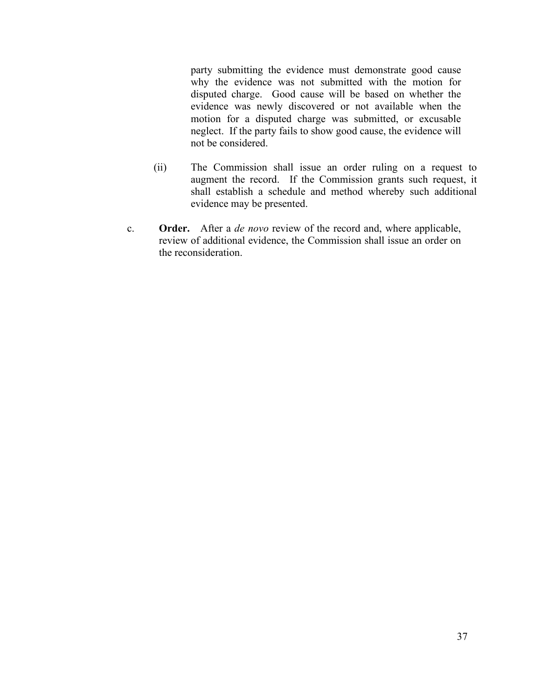party submitting the evidence must demonstrate good cause why the evidence was not submitted with the motion for disputed charge. Good cause will be based on whether the evidence was newly discovered or not available when the motion for a disputed charge was submitted, or excusable neglect. If the party fails to show good cause, the evidence will not be considered.

- (ii) The Commission shall issue an order ruling on a request to augment the record. If the Commission grants such request, it shall establish a schedule and method whereby such additional evidence may be presented.
- c. **Order.** After a *de novo* review of the record and, where applicable, review of additional evidence, the Commission shall issue an order on the reconsideration.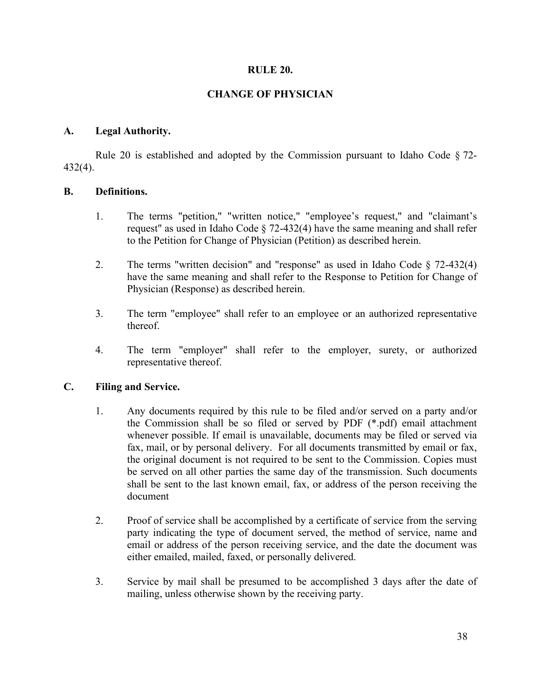### **RULE 20.**

# **CHANGE OF PHYSICIAN**

### **A. Legal Authority.**

Rule 20 is established and adopted by the Commission pursuant to Idaho Code § 72- 432(4).

### **B. Definitions.**

- 1. The terms "petition," "written notice," "employee's request," and "claimant's request" as used in Idaho Code  $\S$  72-432(4) have the same meaning and shall refer to the Petition for Change of Physician (Petition) as described herein.
- 2. The terms "written decision" and "response" as used in Idaho Code § 72-432(4) have the same meaning and shall refer to the Response to Petition for Change of Physician (Response) as described herein.
- 3. The term "employee" shall refer to an employee or an authorized representative thereof.
- 4. The term "employer" shall refer to the employer, surety, or authorized representative thereof.

### **C. Filing and Service.**

- 1. Any documents required by this rule to be filed and/or served on a party and/or the Commission shall be so filed or served by PDF (\*.pdf) email attachment whenever possible. If email is unavailable, documents may be filed or served via fax, mail, or by personal delivery. For all documents transmitted by email or fax, the original document is not required to be sent to the Commission. Copies must be served on all other parties the same day of the transmission. Such documents shall be sent to the last known email, fax, or address of the person receiving the document
- 2. Proof of service shall be accomplished by a certificate of service from the serving party indicating the type of document served, the method of service, name and email or address of the person receiving service, and the date the document was either emailed, mailed, faxed, or personally delivered.
- 3. Service by mail shall be presumed to be accomplished 3 days after the date of mailing, unless otherwise shown by the receiving party.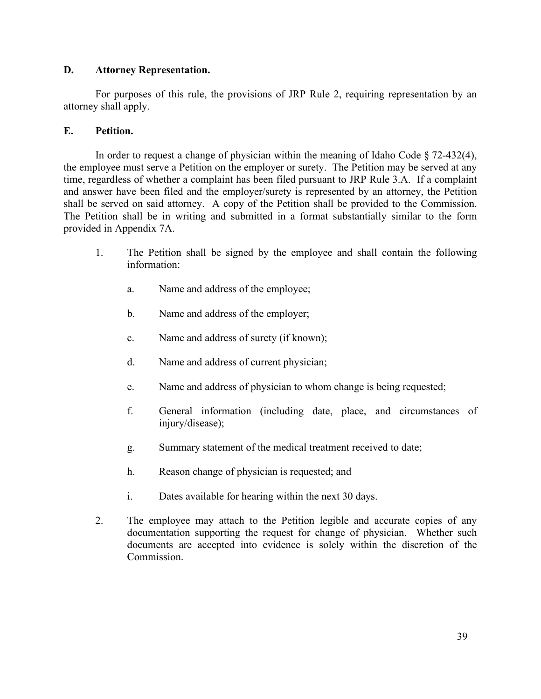# **D. Attorney Representation.**

For purposes of this rule, the provisions of JRP Rule 2, requiring representation by an attorney shall apply.

# **E. Petition.**

In order to request a change of physician within the meaning of Idaho Code  $\S$  72-432(4), the employee must serve a Petition on the employer or surety. The Petition may be served at any time, regardless of whether a complaint has been filed pursuant to JRP Rule 3.A. If a complaint and answer have been filed and the employer/surety is represented by an attorney, the Petition shall be served on said attorney. A copy of the Petition shall be provided to the Commission. The Petition shall be in writing and submitted in a format substantially similar to the form provided in Appendix 7A.

- 1. The Petition shall be signed by the employee and shall contain the following information:
	- a. Name and address of the employee;
	- b. Name and address of the employer;
	- c. Name and address of surety (if known);
	- d. Name and address of current physician;
	- e. Name and address of physician to whom change is being requested;
	- f. General information (including date, place, and circumstances of injury/disease);
	- g. Summary statement of the medical treatment received to date;
	- h. Reason change of physician is requested; and
	- i. Dates available for hearing within the next 30 days.
- 2. The employee may attach to the Petition legible and accurate copies of any documentation supporting the request for change of physician. Whether such documents are accepted into evidence is solely within the discretion of the Commission.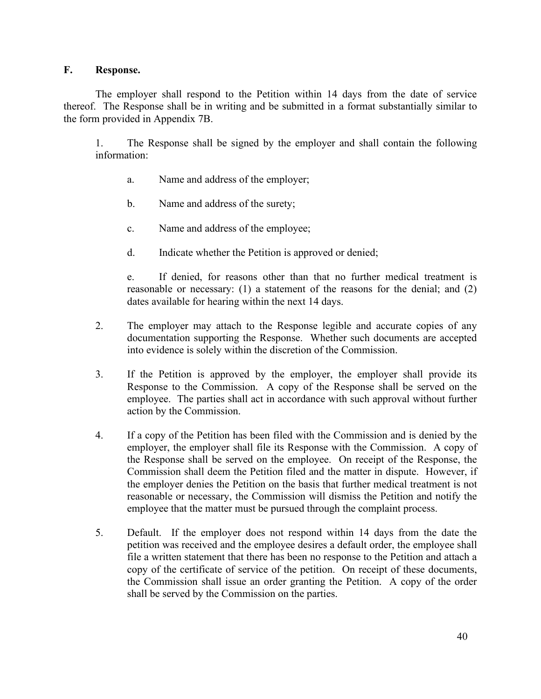## **F. Response.**

The employer shall respond to the Petition within 14 days from the date of service thereof. The Response shall be in writing and be submitted in a format substantially similar to the form provided in Appendix 7B.

1. The Response shall be signed by the employer and shall contain the following information:

- a. Name and address of the employer;
- b. Name and address of the surety;
- c. Name and address of the employee;
- d. Indicate whether the Petition is approved or denied;

e. If denied, for reasons other than that no further medical treatment is reasonable or necessary: (1) a statement of the reasons for the denial; and (2) dates available for hearing within the next 14 days.

- 2. The employer may attach to the Response legible and accurate copies of any documentation supporting the Response. Whether such documents are accepted into evidence is solely within the discretion of the Commission.
- 3. If the Petition is approved by the employer, the employer shall provide its Response to the Commission. A copy of the Response shall be served on the employee. The parties shall act in accordance with such approval without further action by the Commission.
- 4. If a copy of the Petition has been filed with the Commission and is denied by the employer, the employer shall file its Response with the Commission. A copy of the Response shall be served on the employee. On receipt of the Response, the Commission shall deem the Petition filed and the matter in dispute. However, if the employer denies the Petition on the basis that further medical treatment is not reasonable or necessary, the Commission will dismiss the Petition and notify the employee that the matter must be pursued through the complaint process.
- 5. Default. If the employer does not respond within 14 days from the date the petition was received and the employee desires a default order, the employee shall file a written statement that there has been no response to the Petition and attach a copy of the certificate of service of the petition. On receipt of these documents, the Commission shall issue an order granting the Petition. A copy of the order shall be served by the Commission on the parties.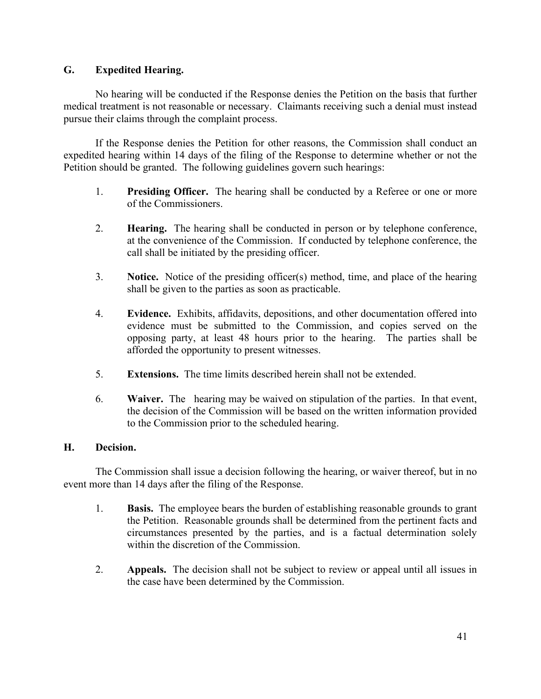# **G. Expedited Hearing.**

No hearing will be conducted if the Response denies the Petition on the basis that further medical treatment is not reasonable or necessary. Claimants receiving such a denial must instead pursue their claims through the complaint process.

If the Response denies the Petition for other reasons, the Commission shall conduct an expedited hearing within 14 days of the filing of the Response to determine whether or not the Petition should be granted. The following guidelines govern such hearings:

- 1. **Presiding Officer.** The hearing shall be conducted by a Referee or one or more of the Commissioners.
- 2. **Hearing.** The hearing shall be conducted in person or by telephone conference, at the convenience of the Commission. If conducted by telephone conference, the call shall be initiated by the presiding officer.
- 3. **Notice.** Notice of the presiding officer(s) method, time, and place of the hearing shall be given to the parties as soon as practicable.
- 4. **Evidence.** Exhibits, affidavits, depositions, and other documentation offered into evidence must be submitted to the Commission, and copies served on the opposing party, at least 48 hours prior to the hearing. The parties shall be afforded the opportunity to present witnesses.
- 5. **Extensions.** The time limits described herein shall not be extended.
- 6. **Waiver.** The hearing may be waived on stipulation of the parties. In that event, the decision of the Commission will be based on the written information provided to the Commission prior to the scheduled hearing.

### **H. Decision.**

The Commission shall issue a decision following the hearing, or waiver thereof, but in no event more than 14 days after the filing of the Response.

- 1. **Basis.** The employee bears the burden of establishing reasonable grounds to grant the Petition. Reasonable grounds shall be determined from the pertinent facts and circumstances presented by the parties, and is a factual determination solely within the discretion of the Commission.
- 2. **Appeals.** The decision shall not be subject to review or appeal until all issues in the case have been determined by the Commission.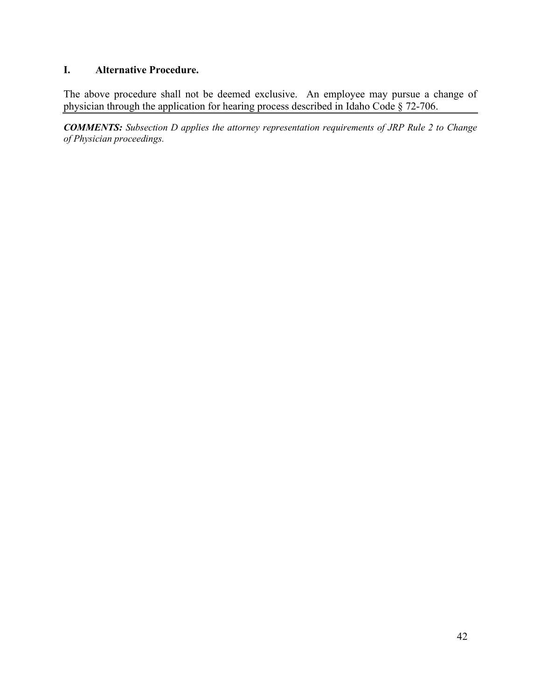# **I. Alternative Procedure.**

The above procedure shall not be deemed exclusive. An employee may pursue a change of physician through the application for hearing process described in Idaho Code § 72-706.

*COMMENTS: Subsection D applies the attorney representation requirements of JRP Rule 2 to Change of Physician proceedings.*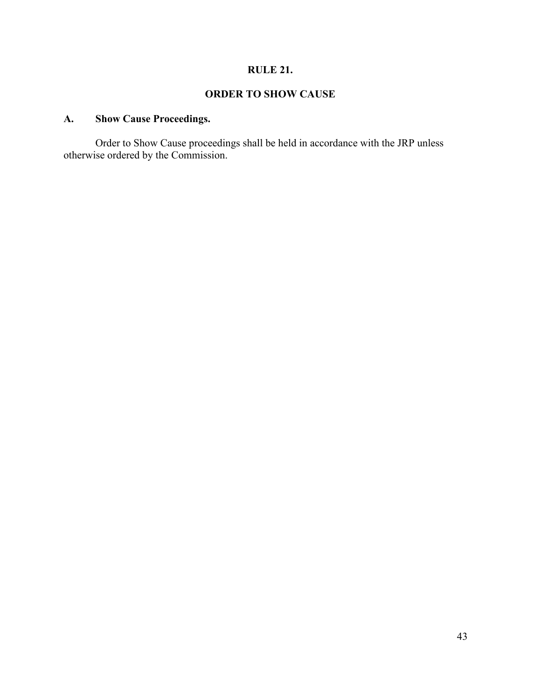# **RULE 21.**

# **ORDER TO SHOW CAUSE**

# **A. Show Cause Proceedings.**

Order to Show Cause proceedings shall be held in accordance with the JRP unless otherwise ordered by the Commission.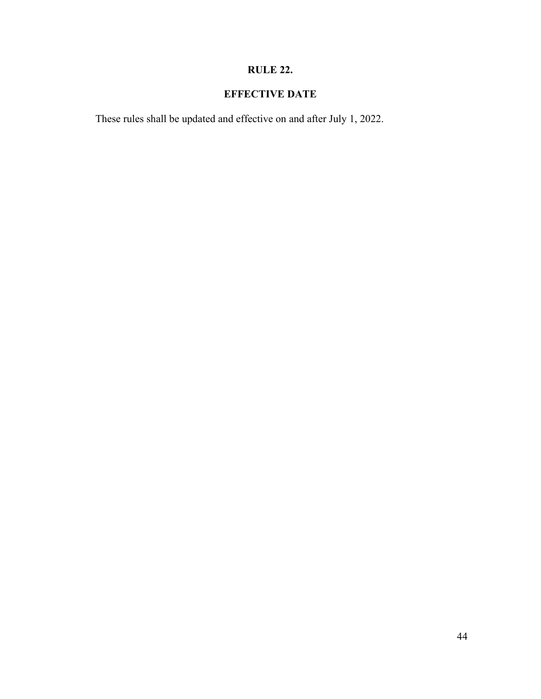# **RULE 22.**

# **EFFECTIVE DATE**

These rules shall be updated and effective on and after July 1, 2022.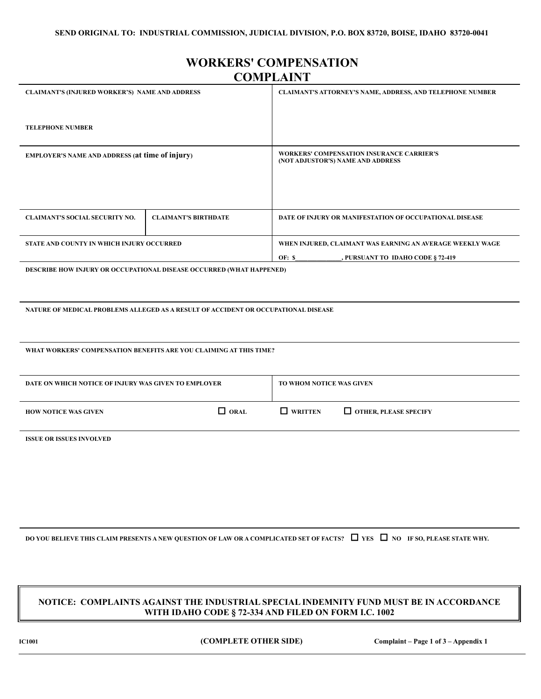# **WORKERS' COMPENSATION COMPLAINT**

| <b>CLAIMANT'S (INJURED WORKER'S) NAME AND ADDRESS</b>  |                                                                                    | <b>CLAIMANT'S ATTORNEY'S NAME, ADDRESS, AND TELEPHONE NUMBER</b>                      |  |  |
|--------------------------------------------------------|------------------------------------------------------------------------------------|---------------------------------------------------------------------------------------|--|--|
| <b>TELEPHONE NUMBER</b>                                |                                                                                    |                                                                                       |  |  |
| <b>EMPLOYER'S NAME AND ADDRESS (at time of injury)</b> |                                                                                    | <b>WORKERS' COMPENSATION INSURANCE CARRIER'S</b><br>(NOT ADJUSTOR'S) NAME AND ADDRESS |  |  |
|                                                        |                                                                                    |                                                                                       |  |  |
|                                                        |                                                                                    |                                                                                       |  |  |
| <b>CLAIMANT'S SOCIAL SECURITY NO.</b>                  | <b>CLAIMANT'S BIRTHDATE</b>                                                        | DATE OF INJURY OR MANIFESTATION OF OCCUPATIONAL DISEASE                               |  |  |
| STATE AND COUNTY IN WHICH INJURY OCCURRED              |                                                                                    | WHEN INJURED, CLAIMANT WAS EARNING AN AVERAGE WEEKLY WAGE                             |  |  |
|                                                        |                                                                                    | OF: S<br>, PURSUANT TO IDAHO CODE § 72-419                                            |  |  |
|                                                        | <b>DESCRIBE HOW INJURY OR OCCUPATIONAL DISEASE OCCURRED (WHAT HAPPENED)</b>        |                                                                                       |  |  |
|                                                        |                                                                                    |                                                                                       |  |  |
|                                                        |                                                                                    |                                                                                       |  |  |
|                                                        | NATURE OF MEDICAL PROBLEMS ALLEGED AS A RESULT OF ACCIDENT OR OCCUPATIONAL DISEASE |                                                                                       |  |  |

**WHAT WORKERS' COMPENSATION BENEFITS ARE YOU CLAIMING AT THIS TIME?**

| DATE ON WHICH NOTICE OF INJURY WAS GIVEN TO EMPLOYER |                | TO WHOM NOTICE WAS GIVEN |                              |  |
|------------------------------------------------------|----------------|--------------------------|------------------------------|--|
| <b>HOW NOTICE WAS GIVEN</b>                          | $\square$ oral | $\Box$ written           | $\Box$ OTHER, PLEASE SPECIFY |  |

**ISSUE OR ISSUES INVOLVED**

**DO YOU BELIEVE THIS CLAIM PRESENTS A NEW QUESTION OF LAW OR A COMPLICATED SET OF FACTS?**  $\Box$  YES  $\Box$  NO IF SO, PLEASE STATE WHY.

#### **NOTICE: COMPLAINTS AGAINST THE INDUSTRIAL SPECIAL INDEMNITY FUND MUST BE IN ACCORDANCE WITH IDAHO CODE § 72-334 AND FILED ON FORM I.C. 1002**

**IC1001 (COMPLETE OTHER SIDE) Complaint – Page 1 of 3 – Appendix 1**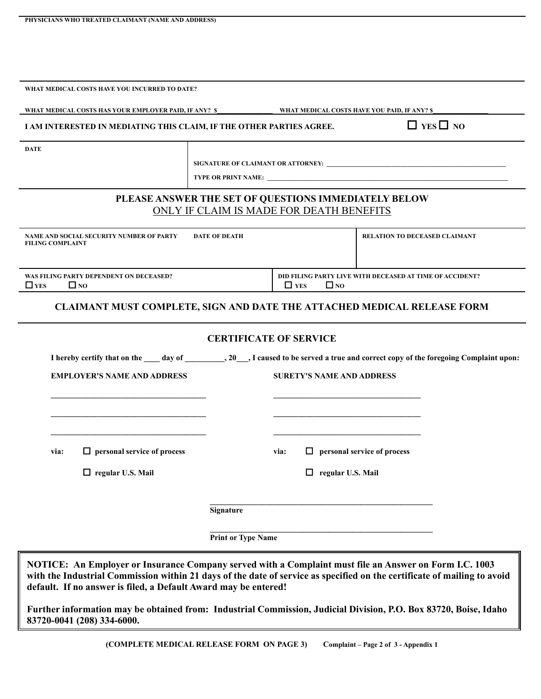| WHAT MEDICAL COSTS HAVE YOU INCURRED TO DATE?                                                          |                                                                                                  |            |                                  |                                                                                                                                            |
|--------------------------------------------------------------------------------------------------------|--------------------------------------------------------------------------------------------------|------------|----------------------------------|--------------------------------------------------------------------------------------------------------------------------------------------|
| WHAT MEDICAL COSTS HAS YOUR EMPLOYER PAID, IF ANY? \$                                                  |                                                                                                  |            |                                  | <b>WHAT MEDICAL COSTS HAVE YOU PAID, IF ANY? \$</b>                                                                                        |
| I AM INTERESTED IN MEDIATING THIS CLAIM, IF THE OTHER PARTIES AGREE.                                   |                                                                                                  |            |                                  | $\Box$ YES $\Box$ NO                                                                                                                       |
| <b>DATE</b>                                                                                            |                                                                                                  |            |                                  |                                                                                                                                            |
|                                                                                                        |                                                                                                  |            |                                  |                                                                                                                                            |
|                                                                                                        |                                                                                                  |            |                                  |                                                                                                                                            |
|                                                                                                        | PLEASE ANSWER THE SET OF QUESTIONS IMMEDIATELY BELOW<br>ONLY IF CLAIM IS MADE FOR DEATH BENEFITS |            |                                  |                                                                                                                                            |
| NAME AND SOCIAL SECURITY NUMBER OF PARTY<br><b>FILING COMPLAINT</b>                                    | <b>DATE OF DEATH</b>                                                                             |            |                                  | <b>RELATION TO DECEASED CLAIMANT</b>                                                                                                       |
| WAS FILING PARTY DEPENDENT ON DECEASED?<br>$\Box$ YES<br>$\Box$ NO                                     |                                                                                                  | $\Box$ YES | $\Box$ NO                        | DID FILING PARTY LIVE WITH DECEASED AT TIME OF ACCIDENT?                                                                                   |
|                                                                                                        |                                                                                                  |            |                                  | <b>CLAIMANT MUST COMPLETE, SIGN AND DATE THE ATTACHED MEDICAL RELEASE FORM</b>                                                             |
|                                                                                                        | <b>CERTIFICATE OF SERVICE</b>                                                                    |            |                                  |                                                                                                                                            |
|                                                                                                        |                                                                                                  |            |                                  | I hereby certify that on the ____ day of __________, 20___, I caused to be served a true and correct copy of the foregoing Complaint upon: |
| <b>EMPLOYER'S NAME AND ADDRESS</b>                                                                     |                                                                                                  |            | <b>SURETY'S NAME AND ADDRESS</b> |                                                                                                                                            |
|                                                                                                        |                                                                                                  |            |                                  |                                                                                                                                            |
|                                                                                                        |                                                                                                  |            |                                  |                                                                                                                                            |
|                                                                                                        |                                                                                                  |            |                                  |                                                                                                                                            |
| $\Box$ personal service of process<br>via:                                                             |                                                                                                  | via:       |                                  | $\Box$ personal service of process                                                                                                         |
| $\Box$ regular U.S. Mail                                                                               |                                                                                                  |            | $\Box$ regular U.S. Mail         |                                                                                                                                            |
|                                                                                                        | Signature                                                                                        |            |                                  |                                                                                                                                            |
|                                                                                                        | <b>Print or Type Name</b>                                                                        |            |                                  |                                                                                                                                            |
| NOTICE: An Employer or Insurance Company served with a Complaint must file an Answer on Form I.C. 1003 |                                                                                                  |            |                                  |                                                                                                                                            |

**default. If no answer is filed, a Default Award may be entered! Further information may be obtained from: Industrial Commission, Judicial Division, P.O. Box 83720, Boise, Idaho** 

**with the Industrial Commission within 21 days of the date of service as specified on the certificate of mailing to avoid** 

**83720-0041 (208) 334-6000.**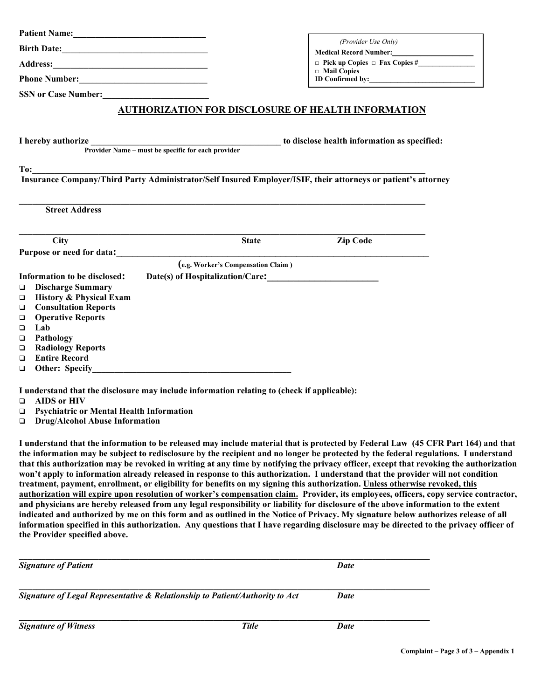|                                                                                                                                                                                                                                |                                                           | (Provider Use Only)<br>Medical Record Number:<br><u> </u>                                                                                                                                                                                                                                                                                                                                                                                                                                                                                                                                                                                                                                                                                                                                                                                                                                                                                                                                                                                                                                                                                                                                                                                             |
|--------------------------------------------------------------------------------------------------------------------------------------------------------------------------------------------------------------------------------|-----------------------------------------------------------|-------------------------------------------------------------------------------------------------------------------------------------------------------------------------------------------------------------------------------------------------------------------------------------------------------------------------------------------------------------------------------------------------------------------------------------------------------------------------------------------------------------------------------------------------------------------------------------------------------------------------------------------------------------------------------------------------------------------------------------------------------------------------------------------------------------------------------------------------------------------------------------------------------------------------------------------------------------------------------------------------------------------------------------------------------------------------------------------------------------------------------------------------------------------------------------------------------------------------------------------------------|
|                                                                                                                                                                                                                                |                                                           |                                                                                                                                                                                                                                                                                                                                                                                                                                                                                                                                                                                                                                                                                                                                                                                                                                                                                                                                                                                                                                                                                                                                                                                                                                                       |
|                                                                                                                                                                                                                                |                                                           | $\Box$ Mail Copies<br>ID Confirmed by:                                                                                                                                                                                                                                                                                                                                                                                                                                                                                                                                                                                                                                                                                                                                                                                                                                                                                                                                                                                                                                                                                                                                                                                                                |
| SSN or Case Number:                                                                                                                                                                                                            |                                                           |                                                                                                                                                                                                                                                                                                                                                                                                                                                                                                                                                                                                                                                                                                                                                                                                                                                                                                                                                                                                                                                                                                                                                                                                                                                       |
|                                                                                                                                                                                                                                | <b>AUTHORIZATION FOR DISCLOSURE OF HEALTH INFORMATION</b> |                                                                                                                                                                                                                                                                                                                                                                                                                                                                                                                                                                                                                                                                                                                                                                                                                                                                                                                                                                                                                                                                                                                                                                                                                                                       |
|                                                                                                                                                                                                                                |                                                           |                                                                                                                                                                                                                                                                                                                                                                                                                                                                                                                                                                                                                                                                                                                                                                                                                                                                                                                                                                                                                                                                                                                                                                                                                                                       |
| I hereby authorize                                                                                                                                                                                                             |                                                           | ze <u>rovider Name – must be specific for each provider</u> to disclose health information as specified:                                                                                                                                                                                                                                                                                                                                                                                                                                                                                                                                                                                                                                                                                                                                                                                                                                                                                                                                                                                                                                                                                                                                              |
|                                                                                                                                                                                                                                |                                                           |                                                                                                                                                                                                                                                                                                                                                                                                                                                                                                                                                                                                                                                                                                                                                                                                                                                                                                                                                                                                                                                                                                                                                                                                                                                       |
|                                                                                                                                                                                                                                |                                                           |                                                                                                                                                                                                                                                                                                                                                                                                                                                                                                                                                                                                                                                                                                                                                                                                                                                                                                                                                                                                                                                                                                                                                                                                                                                       |
| <b>Street Address</b>                                                                                                                                                                                                          |                                                           |                                                                                                                                                                                                                                                                                                                                                                                                                                                                                                                                                                                                                                                                                                                                                                                                                                                                                                                                                                                                                                                                                                                                                                                                                                                       |
| City                                                                                                                                                                                                                           | <b>State</b>                                              | <b>Zip Code</b>                                                                                                                                                                                                                                                                                                                                                                                                                                                                                                                                                                                                                                                                                                                                                                                                                                                                                                                                                                                                                                                                                                                                                                                                                                       |
| Purpose or need for data: Letter and the set of the set of the set of the set of the set of the set of the set of the set of the set of the set of the set of the set of the set of the set of the set of the set of the set o |                                                           |                                                                                                                                                                                                                                                                                                                                                                                                                                                                                                                                                                                                                                                                                                                                                                                                                                                                                                                                                                                                                                                                                                                                                                                                                                                       |
|                                                                                                                                                                                                                                | (e.g. Worker's Compensation Claim)                        |                                                                                                                                                                                                                                                                                                                                                                                                                                                                                                                                                                                                                                                                                                                                                                                                                                                                                                                                                                                                                                                                                                                                                                                                                                                       |
| Information to be disclosed:                                                                                                                                                                                                   |                                                           |                                                                                                                                                                                                                                                                                                                                                                                                                                                                                                                                                                                                                                                                                                                                                                                                                                                                                                                                                                                                                                                                                                                                                                                                                                                       |
| <b>Discharge Summary</b><br>$\Box$<br><b>History &amp; Physical Exam</b>                                                                                                                                                       |                                                           |                                                                                                                                                                                                                                                                                                                                                                                                                                                                                                                                                                                                                                                                                                                                                                                                                                                                                                                                                                                                                                                                                                                                                                                                                                                       |
| □<br><b>Consultation Reports</b><br>▫                                                                                                                                                                                          |                                                           |                                                                                                                                                                                                                                                                                                                                                                                                                                                                                                                                                                                                                                                                                                                                                                                                                                                                                                                                                                                                                                                                                                                                                                                                                                                       |
| <b>Operative Reports</b><br>$\Box$                                                                                                                                                                                             |                                                           |                                                                                                                                                                                                                                                                                                                                                                                                                                                                                                                                                                                                                                                                                                                                                                                                                                                                                                                                                                                                                                                                                                                                                                                                                                                       |
| Lab<br>▫                                                                                                                                                                                                                       |                                                           |                                                                                                                                                                                                                                                                                                                                                                                                                                                                                                                                                                                                                                                                                                                                                                                                                                                                                                                                                                                                                                                                                                                                                                                                                                                       |
| Pathology<br>□                                                                                                                                                                                                                 |                                                           |                                                                                                                                                                                                                                                                                                                                                                                                                                                                                                                                                                                                                                                                                                                                                                                                                                                                                                                                                                                                                                                                                                                                                                                                                                                       |
| <b>Radiology Reports</b><br>$\Box$                                                                                                                                                                                             |                                                           |                                                                                                                                                                                                                                                                                                                                                                                                                                                                                                                                                                                                                                                                                                                                                                                                                                                                                                                                                                                                                                                                                                                                                                                                                                                       |
| <b>Entire Record</b><br>◘<br>$\Box$                                                                                                                                                                                            |                                                           |                                                                                                                                                                                                                                                                                                                                                                                                                                                                                                                                                                                                                                                                                                                                                                                                                                                                                                                                                                                                                                                                                                                                                                                                                                                       |
|                                                                                                                                                                                                                                |                                                           |                                                                                                                                                                                                                                                                                                                                                                                                                                                                                                                                                                                                                                                                                                                                                                                                                                                                                                                                                                                                                                                                                                                                                                                                                                                       |
| I understand that the disclosure may include information relating to (check if applicable):                                                                                                                                    |                                                           |                                                                                                                                                                                                                                                                                                                                                                                                                                                                                                                                                                                                                                                                                                                                                                                                                                                                                                                                                                                                                                                                                                                                                                                                                                                       |
| <b>AIDS</b> or HIV<br>$\Box$<br><b>Psychiatric or Mental Health Information</b>                                                                                                                                                |                                                           |                                                                                                                                                                                                                                                                                                                                                                                                                                                                                                                                                                                                                                                                                                                                                                                                                                                                                                                                                                                                                                                                                                                                                                                                                                                       |
| ▫<br><b>Drug/Alcohol Abuse Information</b><br>$\Box$                                                                                                                                                                           |                                                           |                                                                                                                                                                                                                                                                                                                                                                                                                                                                                                                                                                                                                                                                                                                                                                                                                                                                                                                                                                                                                                                                                                                                                                                                                                                       |
|                                                                                                                                                                                                                                |                                                           |                                                                                                                                                                                                                                                                                                                                                                                                                                                                                                                                                                                                                                                                                                                                                                                                                                                                                                                                                                                                                                                                                                                                                                                                                                                       |
|                                                                                                                                                                                                                                |                                                           | I understand that the information to be released may include material that is protected by Federal Law (45 CFR Part 164) and that<br>the information may be subject to redisclosure by the recipient and no longer be protected by the federal regulations. I understand<br>that this authorization may be revoked in writing at any time by notifying the privacy officer, except that revoking the authorization<br>won't apply to information already released in response to this authorization. I understand that the provider will not condition<br>treatment, payment, enrollment, or eligibility for benefits on my signing this authorization. Unless otherwise revoked, this<br>authorization will expire upon resolution of worker's compensation claim. Provider, its employees, officers, copy service contractor,<br>and physicians are hereby released from any legal responsibility or liability for disclosure of the above information to the extent<br>indicated and authorized by me on this form and as outlined in the Notice of Privacy. My signature below authorizes release of all<br>information specified in this authorization. Any questions that I have regarding disclosure may be directed to the privacy officer of |
| the Provider specified above.                                                                                                                                                                                                  |                                                           |                                                                                                                                                                                                                                                                                                                                                                                                                                                                                                                                                                                                                                                                                                                                                                                                                                                                                                                                                                                                                                                                                                                                                                                                                                                       |
| <b>Signature of Patient</b>                                                                                                                                                                                                    |                                                           | <b>Date</b>                                                                                                                                                                                                                                                                                                                                                                                                                                                                                                                                                                                                                                                                                                                                                                                                                                                                                                                                                                                                                                                                                                                                                                                                                                           |
| Signature of Legal Representative & Relationship to Patient/Authority to Act                                                                                                                                                   |                                                           | <b>Date</b>                                                                                                                                                                                                                                                                                                                                                                                                                                                                                                                                                                                                                                                                                                                                                                                                                                                                                                                                                                                                                                                                                                                                                                                                                                           |
|                                                                                                                                                                                                                                |                                                           |                                                                                                                                                                                                                                                                                                                                                                                                                                                                                                                                                                                                                                                                                                                                                                                                                                                                                                                                                                                                                                                                                                                                                                                                                                                       |

*Signature of Witness Title Date*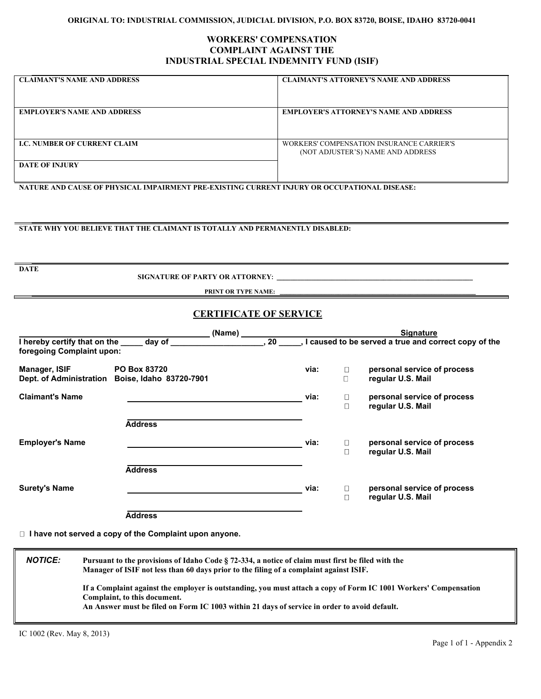#### **ORIGINAL TO: INDUSTRIAL COMMISSION, JUDICIAL DIVISION, P.O. BOX 83720, BOISE, IDAHO 83720-0041**

#### **WORKERS' COMPENSATION COMPLAINT AGAINST THE INDUSTRIAL SPECIAL INDEMNITY FUND (ISIF)**

| <b>CLAIMANT'S NAME AND ADDRESS</b> | <b>CLAIMANT'S ATTORNEY'S NAME AND ADDRESS</b>                                  |
|------------------------------------|--------------------------------------------------------------------------------|
| <b>EMPLOYER'S NAME AND ADDRESS</b> | <b>EMPLOYER'S ATTORNEY'S NAME AND ADDRESS</b>                                  |
| <b>LC. NUMBER OF CURRENT CLAIM</b> | WORKERS' COMPENSATION INSURANCE CARRIER'S<br>(NOT ADJUSTER'S) NAME AND ADDRESS |
| <b>DATE OF INJURY</b>              |                                                                                |

**NATURE AND CAUSE OF PHYSICAL IMPAIRMENT PRE-EXISTING CURRENT INJURY OR OCCUPATIONAL DISEASE:**

#### **STATE WHY YOU BELIEVE THAT THE CLAIMANT IS TOTALLY AND PERMANENTLY DISABLED:**

**DATE** 

 **SIGNATURE OF PARTY OR ATTORNEY: \_\_\_\_\_\_\_\_\_\_\_\_\_\_\_\_\_\_\_\_\_\_\_\_\_\_\_\_\_\_\_\_\_\_\_\_\_\_\_\_\_\_\_\_\_\_\_\_\_\_\_\_\_\_\_\_\_** 

**PRINT OR TYPE NAME:** 

#### **CERTIFICATE OF SERVICE**

|                                                                               | (Name)                                  |      |                                                      | <b>Signature</b>                                 |  |
|-------------------------------------------------------------------------------|-----------------------------------------|------|------------------------------------------------------|--------------------------------------------------|--|
| I hereby certify that on the ______ day of<br>20<br>foregoing Complaint upon: |                                         |      | I caused to be served a true and correct copy of the |                                                  |  |
| Manager, ISIF<br><b>Dept. of Administration</b>                               | PO Box 83720<br>Boise, Idaho 83720-7901 | via: | □<br>О                                               | personal service of process<br>regular U.S. Mail |  |
| <b>Claimant's Name</b>                                                        |                                         | via: | □<br>$\Box$                                          | personal service of process<br>regular U.S. Mail |  |
|                                                                               | <b>Address</b>                          |      |                                                      |                                                  |  |
| <b>Employer's Name</b>                                                        |                                         | via: | □<br>Π                                               | personal service of process<br>regular U.S. Mail |  |
|                                                                               | <b>Address</b>                          |      |                                                      |                                                  |  |
| <b>Surety's Name</b>                                                          |                                         | via: | □<br>П                                               | personal service of process<br>regular U.S. Mail |  |
|                                                                               | Address                                 |      |                                                      |                                                  |  |

 **I have not served a copy of the Complaint upon anyone.**

*NOTICE:* **Pursuant to the provisions of Idaho Code § 72-334, a notice of claim must first be filed with the Manager of ISIF not less than 60 days prior to the filing of a complaint against ISIF. If a Complaint against the employer is outstanding, you must attach a copy of Form IC 1001 Workers' Compensation Complaint, to this document. An Answer must be filed on Form IC 1003 within 21 days of service in order to avoid default.**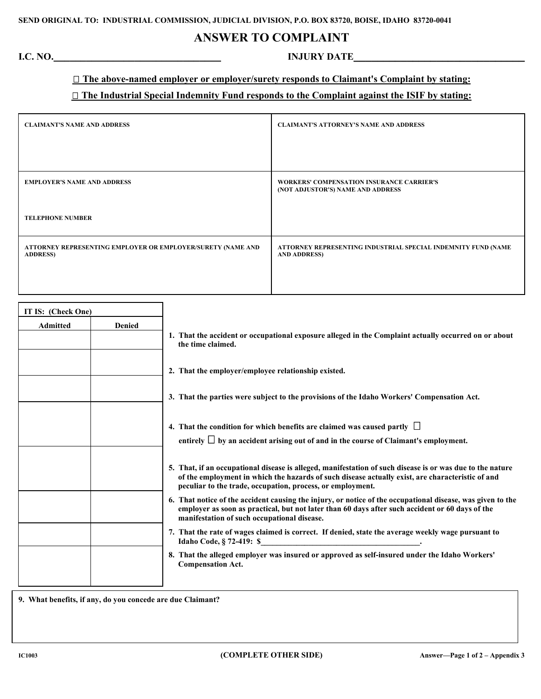# **ANSWER TO COMPLAINT**

# **I.C. NO.\_\_\_\_\_\_\_\_\_\_\_\_\_\_\_\_\_\_\_\_\_\_\_\_\_\_\_\_\_\_\_ INJURY DATE\_\_\_\_\_\_\_\_\_\_\_\_\_\_\_\_\_\_\_\_\_\_\_\_\_\_\_\_\_**

# **The above-named employer or employer/surety responds to Claimant's Complaint by stating:**

#### **The Industrial Special Indemnity Fund responds to the Complaint against the ISIF by stating:**

| <b>CLAIMANT'S NAME AND ADDRESS</b>                                             | <b>CLAIMANT'S ATTORNEY'S NAME AND ADDRESS</b>                                         |  |  |
|--------------------------------------------------------------------------------|---------------------------------------------------------------------------------------|--|--|
|                                                                                |                                                                                       |  |  |
|                                                                                |                                                                                       |  |  |
| <b>EMPLOYER'S NAME AND ADDRESS</b>                                             | <b>WORKERS' COMPENSATION INSURANCE CARRIER'S</b><br>(NOT ADJUSTOR'S) NAME AND ADDRESS |  |  |
| <b>TELEPHONE NUMBER</b>                                                        |                                                                                       |  |  |
| ATTORNEY REPRESENTING EMPLOYER OR EMPLOYER/SURETY (NAME AND<br><b>ADDRESS)</b> | ATTORNEY REPRESENTING INDUSTRIAL SPECIAL INDEMNITY FUND (NAME<br><b>AND ADDRESS)</b>  |  |  |
|                                                                                |                                                                                       |  |  |

| IT IS: (Check One) |               |                                                                                                                                                                                                                                                                             |
|--------------------|---------------|-----------------------------------------------------------------------------------------------------------------------------------------------------------------------------------------------------------------------------------------------------------------------------|
| <b>Admitted</b>    | <b>Denied</b> | 1. That the accident or occupational exposure alleged in the Complaint actually occurred on or about<br>the time claimed.                                                                                                                                                   |
|                    |               | 2. That the employer/employee relationship existed.                                                                                                                                                                                                                         |
|                    |               | 3. That the parties were subject to the provisions of the Idaho Workers' Compensation Act.                                                                                                                                                                                  |
|                    |               | 4. That the condition for which benefits are claimed was caused partly $\Box$<br>entirely $\Box$ by an accident arising out of and in the course of Claimant's employment.                                                                                                  |
|                    |               | 5. That, if an occupational disease is alleged, manifestation of such disease is or was due to the nature<br>of the employment in which the hazards of such disease actually exist, are characteristic of and<br>peculiar to the trade, occupation, process, or employment. |
|                    |               | 6. That notice of the accident causing the injury, or notice of the occupational disease, was given to the<br>employer as soon as practical, but not later than 60 days after such accident or 60 days of the<br>manifestation of such occupational disease.                |
|                    |               | 7. That the rate of wages claimed is correct. If denied, state the average weekly wage pursuant to<br><b>Idaho Code, § 72-419: \$</b>                                                                                                                                       |
|                    |               | 8. That the alleged employer was insured or approved as self-insured under the Idaho Workers'<br><b>Compensation Act.</b>                                                                                                                                                   |
|                    |               |                                                                                                                                                                                                                                                                             |

**9. What benefits, if any, do you concede are due Claimant?**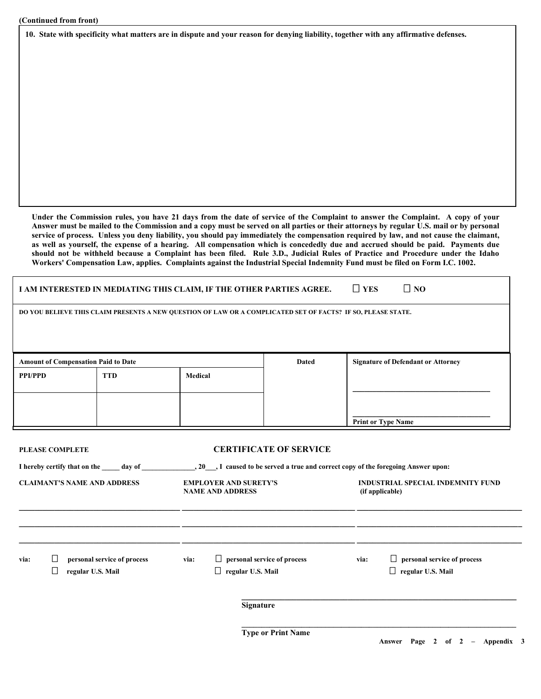**10. State with specificity what matters are in dispute and your reason for denying liability, together with any affirmative defenses.**

**Under the Commission rules, you have 21 days from the date of service of the Complaint to answer the Complaint. A copy of your Answer must be mailed to the Commission and a copy must be served on all parties or their attorneys by regular U.S. mail or by personal service of process. Unless you deny liability, you should pay immediately the compensation required by law, and not cause the claimant, as well as yourself, the expense of a hearing. All compensation which is concededly due and accrued should be paid. Payments due should not be withheld because a Complaint has been filed. Rule 3.D., Judicial Rules of Practice and Procedure under the Idaho Workers' Compensation Law, applies. Complaints against the Industrial Special Indemnity Fund must be filed on Form I.C. 1002.**

|                                                                                                                                                                                              |                                            | I AM INTERESTED IN MEDIATING THIS CLAIM, IF THE OTHER PARTIES AGREE.                 |         |                                                                                          |                                                                                                              | $\Box$ YES | $\Box$ NO                                                   |  |  |
|----------------------------------------------------------------------------------------------------------------------------------------------------------------------------------------------|--------------------------------------------|--------------------------------------------------------------------------------------|---------|------------------------------------------------------------------------------------------|--------------------------------------------------------------------------------------------------------------|------------|-------------------------------------------------------------|--|--|
|                                                                                                                                                                                              |                                            |                                                                                      |         |                                                                                          | DO YOU BELIEVE THIS CLAIM PRESENTS A NEW QUESTION OF LAW OR A COMPLICATED SET OF FACTS? IF SO, PLEASE STATE. |            |                                                             |  |  |
|                                                                                                                                                                                              | <b>Amount of Compensation Paid to Date</b> |                                                                                      |         |                                                                                          | <b>Dated</b>                                                                                                 |            | <b>Signature of Defendant or Attorney</b>                   |  |  |
| <b>PPI/PPD</b>                                                                                                                                                                               | <b>TTD</b>                                 |                                                                                      | Medical |                                                                                          |                                                                                                              |            |                                                             |  |  |
|                                                                                                                                                                                              |                                            |                                                                                      |         |                                                                                          |                                                                                                              |            | <b>Print or Type Name</b>                                   |  |  |
| <b>PLEASE COMPLETE</b><br>I hereby certify that on the day of discussed by 1 caused to be served a true and correct copy of the foregoing Answer upon:<br><b>CLAIMANT'S NAME AND ADDRESS</b> |                                            |                                                                                      |         | <b>CERTIFICATE OF SERVICE</b><br><b>EMPLOYER AND SURETY'S</b><br><b>NAME AND ADDRESS</b> |                                                                                                              |            | <b>INDUSTRIAL SPECIAL INDEMNITY FUND</b><br>(if applicable) |  |  |
| ⊔<br>personal service of process<br>via:<br>ப<br>regular U.S. Mail                                                                                                                           |                                            | $\Box$<br>personal service of process<br>via:<br>regular U.S. Mail<br>⊔<br>Signature |         | via:                                                                                     | $\Box$<br>personal service of process<br>$\Box$ regular U.S. Mail                                            |            |                                                             |  |  |
|                                                                                                                                                                                              |                                            |                                                                                      |         |                                                                                          | <b>Type or Print Name</b>                                                                                    |            |                                                             |  |  |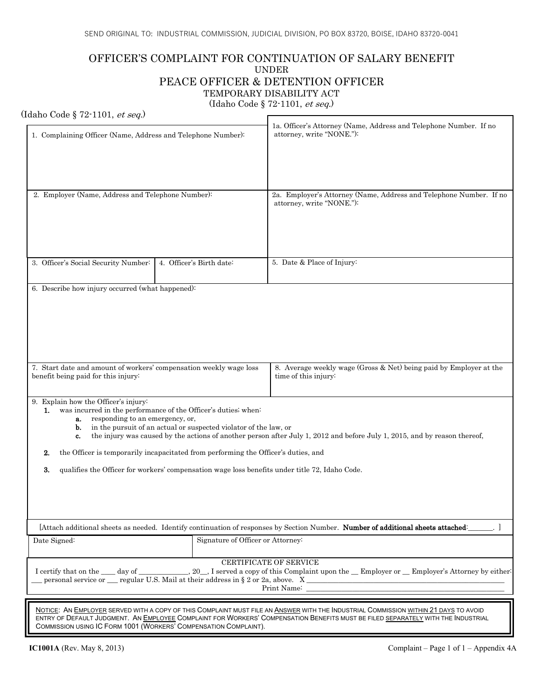### OFFICER'S COMPLAINT FOR CONTINUATION OF SALARY BENEFIT UNDER PEACE OFFICER & DETENTION OFFICER TEMPORARY DISABILITY ACT (Idaho Code § 72-1101, et seq.)

#### (Idaho Code § 72-1101, et seq.)

| 1. Complaining Officer (Name, Address and Telephone Number):                                                                                                                                                                                                                                                                                                                                                                                                                                                                                                           |                                   | 1a. Officer's Attorney (Name, Address and Telephone Number. If no<br>attorney, write "NONE."):                                                                                                                                                                          |  |  |  |
|------------------------------------------------------------------------------------------------------------------------------------------------------------------------------------------------------------------------------------------------------------------------------------------------------------------------------------------------------------------------------------------------------------------------------------------------------------------------------------------------------------------------------------------------------------------------|-----------------------------------|-------------------------------------------------------------------------------------------------------------------------------------------------------------------------------------------------------------------------------------------------------------------------|--|--|--|
| 2. Employer (Name, Address and Telephone Number):                                                                                                                                                                                                                                                                                                                                                                                                                                                                                                                      |                                   | 2a. Employer's Attorney (Name, Address and Telephone Number. If no<br>attorney, write "NONE."):                                                                                                                                                                         |  |  |  |
| 3. Officer's Social Security Number:                                                                                                                                                                                                                                                                                                                                                                                                                                                                                                                                   | 4. Officer's Birth date:          | 5. Date & Place of Injury:                                                                                                                                                                                                                                              |  |  |  |
| 6. Describe how injury occurred (what happened):                                                                                                                                                                                                                                                                                                                                                                                                                                                                                                                       |                                   |                                                                                                                                                                                                                                                                         |  |  |  |
| 7. Start date and amount of workers' compensation weekly wage loss<br>benefit being paid for this injury:                                                                                                                                                                                                                                                                                                                                                                                                                                                              |                                   | 8. Average weekly wage (Gross & Net) being paid by Employer at the<br>time of this injury:                                                                                                                                                                              |  |  |  |
| 9. Explain how the Officer's injury:<br>was incurred in the performance of the Officer's duties; when:<br>1.<br>responding to an emergency, or,<br>a.<br>in the pursuit of an actual or suspected violator of the law, or<br>b.<br>the injury was caused by the actions of another person after July 1, 2012 and before July 1, 2015, and by reason thereof,<br>c.<br>the Officer is temporarily incapacitated from performing the Officer's duties, and<br>2.<br>qualifies the Officer for workers' compensation wage loss benefits under title 72, Idaho Code.<br>3. |                                   |                                                                                                                                                                                                                                                                         |  |  |  |
|                                                                                                                                                                                                                                                                                                                                                                                                                                                                                                                                                                        |                                   | [Attach additional sheets as needed. Identify continuation of responses by Section Number. Number of additional sheets attached:                                                                                                                                        |  |  |  |
| Date Signed:                                                                                                                                                                                                                                                                                                                                                                                                                                                                                                                                                           | Signature of Officer or Attorney: |                                                                                                                                                                                                                                                                         |  |  |  |
| personal service or $\frac{1}{2}$ regular U.S. Mail at their address in § 2 or 2a, above. X                                                                                                                                                                                                                                                                                                                                                                                                                                                                            | CERTIFICATE OF SERVICE            | I certify that on the day of 3.20, I served a copy of this Complaint upon the Employer or Employer's Attorney by either<br>Print Name:                                                                                                                                  |  |  |  |
| COMMISSION USING IC FORM 1001 (WORKERS' COMPENSATION COMPLAINT).                                                                                                                                                                                                                                                                                                                                                                                                                                                                                                       |                                   | NOTICE: AN EMPLOYER SERVED WITH A COPY OF THIS COMPLAINT MUST FILE AN ANSWER WITH THE INDUSTRIAL COMMISSION WITHIN 21 DAYS TO AVOID<br>ENTRY OF DEFAULT JUDGMENT. AN EMPLOYEE COMPLAINT FOR WORKERS' COMPENSATION BENEFITS MUST BE FILED SEPARATELY WITH THE INDUSTRIAL |  |  |  |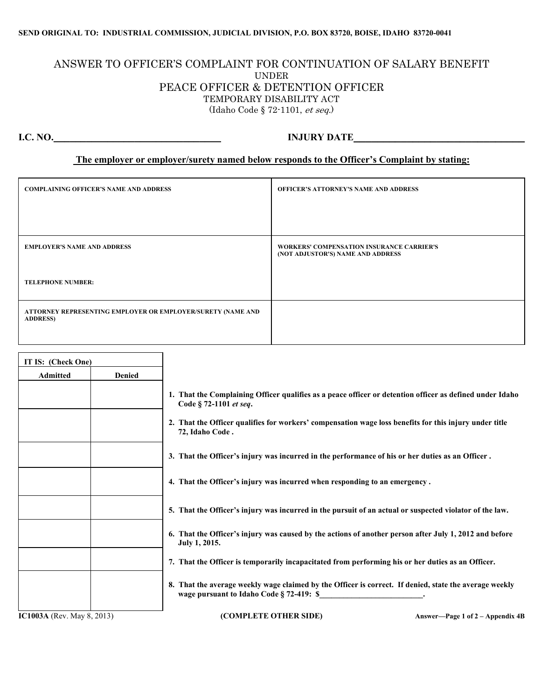#### **SEND ORIGINAL TO: INDUSTRIAL COMMISSION, JUDICIAL DIVISION, P.O. BOX 83720, BOISE, IDAHO 83720-0041**

### ANSWER TO OFFICER'S COMPLAINT FOR CONTINUATION OF SALARY BENEFIT UNDER PEACE OFFICER & DETENTION OFFICER TEMPORARY DISABILITY ACT (Idaho Code § 72-1101, et seq.)

# **I.C. NO.\_\_\_\_\_\_\_\_\_\_\_\_\_\_\_\_\_\_\_\_\_\_\_\_\_\_\_\_\_\_\_ INJURY DATE\_\_\_\_\_\_\_\_\_\_\_\_\_\_\_\_\_\_\_\_\_\_\_\_\_\_\_\_\_**

#### **The employer or employer/surety named below responds to the Officer's Complaint by stating:**

| <b>COMPLAINING OFFICER'S NAME AND ADDRESS</b>                                  | OFFICER'S ATTORNEY'S NAME AND ADDRESS                                                 |
|--------------------------------------------------------------------------------|---------------------------------------------------------------------------------------|
|                                                                                |                                                                                       |
| <b>EMPLOYER'S NAME AND ADDRESS</b>                                             | <b>WORKERS' COMPENSATION INSURANCE CARRIER'S</b><br>(NOT ADJUSTOR'S) NAME AND ADDRESS |
| <b>TELEPHONE NUMBER:</b>                                                       |                                                                                       |
| ATTORNEY REPRESENTING EMPLOYER OR EMPLOYER/SURETY (NAME AND<br><b>ADDRESS)</b> |                                                                                       |

| IT IS: (Check One)                |               |                                                                                                                                                    |
|-----------------------------------|---------------|----------------------------------------------------------------------------------------------------------------------------------------------------|
| <b>Admitted</b>                   | <b>Denied</b> |                                                                                                                                                    |
|                                   |               | 1. That the Complaining Officer qualifies as a peace officer or detention officer as defined under Idaho<br>Code § 72-1101 et seq.                 |
|                                   |               | 2. That the Officer qualifies for workers' compensation wage loss benefits for this injury under title<br>72, Idaho Code.                          |
|                                   |               | 3. That the Officer's injury was incurred in the performance of his or her duties as an Officer.                                                   |
|                                   |               | 4. That the Officer's injury was incurred when responding to an emergency.                                                                         |
|                                   |               | 5. That the Officer's injury was incurred in the pursuit of an actual or suspected violator of the law.                                            |
|                                   |               | 6. That the Officer's injury was caused by the actions of another person after July 1, 2012 and before<br>July 1, 2015.                            |
|                                   |               | 7. That the Officer is temporarily incapacitated from performing his or her duties as an Officer.                                                  |
|                                   |               | 8. That the average weekly wage claimed by the Officer is correct. If denied, state the average weekly<br>wage pursuant to Idaho Code § 72-419: \$ |
| <b>IC1003A</b> (Rev. May 8, 2013) |               | (COMPLETE OTHER SIDE)<br>Answer—Page 1 of $2 -$ Appendix 4B                                                                                        |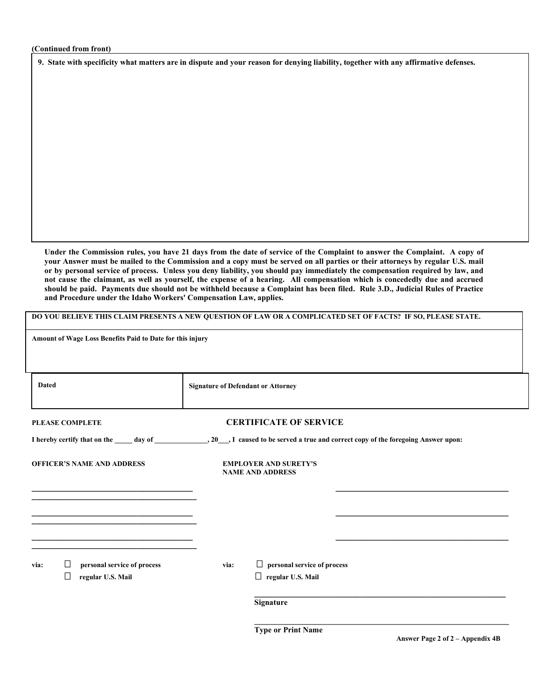**9. State with specificity what matters are in dispute and your reason for denying liability, together with any affirmative defenses.**

**Under the Commission rules, you have 21 days from the date of service of the Complaint to answer the Complaint. A copy of your Answer must be mailed to the Commission and a copy must be served on all parties or their attorneys by regular U.S. mail or by personal service of process. Unless you deny liability, you should pay immediately the compensation required by law, and not cause the claimant, as well as yourself, the expense of a hearing. All compensation which is concededly due and accrued should be paid. Payments due should not be withheld because a Complaint has been filed. Rule 3.D., Judicial Rules of Practice and Procedure under the Idaho Workers' Compensation Law, applies.** 

|                                                                         | DO YOU BELIEVE THIS CLAIM PRESENTS A NEW QUESTION OF LAW OR A COMPLICATED SET OF FACTS? IF SO, PLEASE STATE. |  |  |  |  |  |  |  |  |
|-------------------------------------------------------------------------|--------------------------------------------------------------------------------------------------------------|--|--|--|--|--|--|--|--|
|                                                                         | Amount of Wage Loss Benefits Paid to Date for this injury                                                    |  |  |  |  |  |  |  |  |
|                                                                         |                                                                                                              |  |  |  |  |  |  |  |  |
| <b>Dated</b>                                                            | <b>Signature of Defendant or Attorney</b>                                                                    |  |  |  |  |  |  |  |  |
| <b>PLEASE COMPLETE</b>                                                  | <b>CERTIFICATE OF SERVICE</b>                                                                                |  |  |  |  |  |  |  |  |
|                                                                         |                                                                                                              |  |  |  |  |  |  |  |  |
| <b>OFFICER'S NAME AND ADDRESS</b>                                       | <b>EMPLOYER AND SURETY'S</b><br><b>NAME AND ADDRESS</b>                                                      |  |  |  |  |  |  |  |  |
|                                                                         |                                                                                                              |  |  |  |  |  |  |  |  |
|                                                                         |                                                                                                              |  |  |  |  |  |  |  |  |
|                                                                         |                                                                                                              |  |  |  |  |  |  |  |  |
| Ш<br>personal service of process<br>via:<br>$\Box$<br>regular U.S. Mail | $\Box$ personal service of process<br>via:<br>$\Box$ regular U.S. Mail                                       |  |  |  |  |  |  |  |  |
|                                                                         | Signature                                                                                                    |  |  |  |  |  |  |  |  |
|                                                                         |                                                                                                              |  |  |  |  |  |  |  |  |

**Type or Print Name**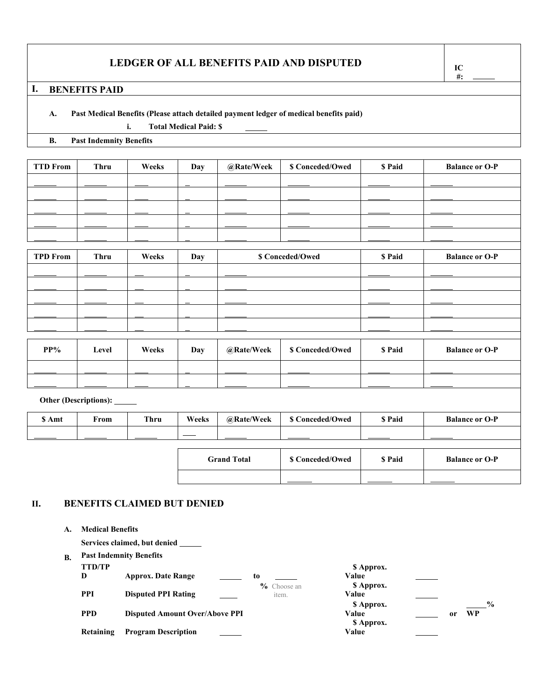# **LEDGER OF ALL BENEFITS PAID AND DISPUTED IC**

# **I. BENEFITS PAID**

#### **A. Past Medical Benefits (Please attach detailed payment ledger of medical benefits paid)**

**i. Total Medical Paid: \$** 

**B. Past Indemnity Benefits**

| <b>TTD From</b> | Thru | Weeks | Day | @Rate/Week | \$ Conceded/Owed | \$ Paid | <b>Balance or O-P</b> |
|-----------------|------|-------|-----|------------|------------------|---------|-----------------------|
|                 |      |       |     |            |                  |         |                       |
|                 |      |       |     |            |                  |         |                       |
|                 |      |       |     |            |                  |         |                       |
|                 |      |       |     |            |                  |         |                       |
|                 |      |       |     |            |                  |         |                       |
|                 |      |       |     |            |                  |         |                       |

| <b>TPD From</b> | Thru  | Weeks | Day | \$ Conceded/Owed |                  | \$ Paid | <b>Balance or O-P</b> |
|-----------------|-------|-------|-----|------------------|------------------|---------|-----------------------|
|                 |       |       |     |                  |                  |         |                       |
|                 |       |       |     |                  |                  |         |                       |
|                 |       |       |     |                  |                  |         |                       |
|                 |       |       |     |                  |                  |         |                       |
|                 |       |       |     |                  |                  |         |                       |
|                 |       |       |     |                  |                  |         |                       |
| $PP\%$          | Level | Weeks | Day | @Rate/Week       | \$ Conceded/Owed | \$ Paid | <b>Balance or O-P</b> |
|                 |       |       |     |                  |                  |         |                       |
|                 |       |       |     |                  |                  |         |                       |

#### **Other (Descriptions):**

| \$ Amt | From | <b>Thru</b> | Weeks              | @Rate/Week | \$ Conceded/Owed       | \$ Paid       | <b>Balance or O-P</b> |
|--------|------|-------------|--------------------|------------|------------------------|---------------|-----------------------|
|        |      |             |                    |            |                        |               |                       |
|        |      |             |                    |            |                        |               |                       |
|        |      |             | <b>Grand Total</b> |            | <b>S</b> Conceded/Owed | <b>S</b> Paid | <b>Balance or O-P</b> |

#### **II. BENEFITS CLAIMED BUT DENIED**

**A. Medical Benefits**

**Services claimed, but denied** 

#### **B. Past Indemnity Benefits**

| <b>TTD/TP</b><br>D | <b>Approx. Date Range</b>             | to                      | \$ Approx.<br>Value               |               |
|--------------------|---------------------------------------|-------------------------|-----------------------------------|---------------|
| <b>PPI</b>         | <b>Disputed PPI Rating</b>            | $\%$ Choose an<br>item. | \$ Approx.<br>Value               | $\frac{6}{9}$ |
| <b>PPD</b>         | <b>Disputed Amount Over/Above PPI</b> |                         | \$ Approx.<br>Value<br>\$ Approx. | WP<br>or      |
| Retaining          | <b>Program Description</b>            |                         | Value                             |               |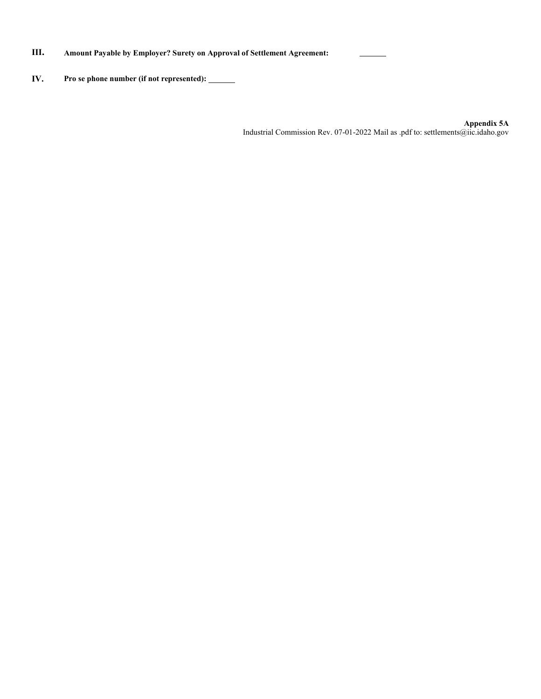### **III. Amount Payable by Employer? Surety on Approval of Settlement Agreement:**

# **IV. Pro se phone number (if not represented):**

**Appendix 5A** Industrial Commission Rev. 07-01-2022 Mail as .pdf to: settlements@iic.idaho.gov

j.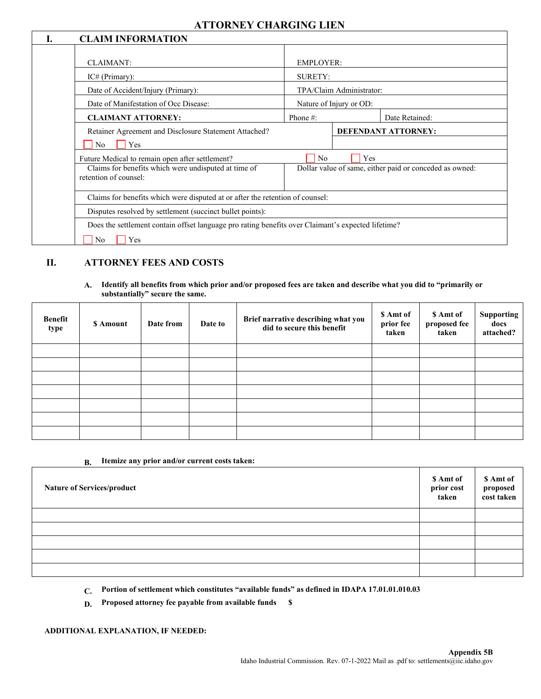# **ATTORNEY CHARGING LIEN**

| <b>CLAIM INFORMATION</b>                                                                                                         |                  |                                                                       |
|----------------------------------------------------------------------------------------------------------------------------------|------------------|-----------------------------------------------------------------------|
| <b>CLAIMANT:</b>                                                                                                                 | <b>EMPLOYER:</b> |                                                                       |
| IC# (Primary):                                                                                                                   | <b>SURETY:</b>   |                                                                       |
| Date of Accident/Injury (Primary):                                                                                               |                  | TPA/Claim Administrator:                                              |
| Date of Manifestation of Occ Disease:                                                                                            |                  | Nature of Injury or OD:                                               |
| <b>CLAIMANT ATTORNEY:</b>                                                                                                        | Phone #:         | Date Retained:                                                        |
| Retainer Agreement and Disclosure Statement Attached?<br>N <sub>0</sub><br>Yes                                                   |                  | DEFENDANT ATTORNEY:                                                   |
| Future Medical to remain open after settlement?<br>Claims for benefits which were undisputed at time of<br>retention of counsel: | N <sub>o</sub>   | <b>Yes</b><br>Dollar value of same, either paid or conceded as owned: |
| Claims for benefits which were disputed at or after the retention of counsel:                                                    |                  |                                                                       |
| Disputes resolved by settlement (succinct bullet points):                                                                        |                  |                                                                       |
| Does the settlement contain offset language pro rating benefits over Claimant's expected lifetime?                               |                  |                                                                       |
| N <sub>o</sub><br>Yes                                                                                                            |                  |                                                                       |

### **II. ATTORNEY FEES AND COSTS**

**A. Identify all benefits from which prior and/or proposed fees are taken and describe what you did to "primarily or substantially" secure the same.**

| <b>Benefit</b><br>type | \$ Amount | Date from | Date to | Brief narrative describing what you<br>did to secure this benefit | \$ Amt of<br>prior fee<br>taken | \$ Amt of<br>proposed fee<br>taken | <b>Supporting</b><br>docs<br>attached? |
|------------------------|-----------|-----------|---------|-------------------------------------------------------------------|---------------------------------|------------------------------------|----------------------------------------|
|                        |           |           |         |                                                                   |                                 |                                    |                                        |
|                        |           |           |         |                                                                   |                                 |                                    |                                        |
|                        |           |           |         |                                                                   |                                 |                                    |                                        |
|                        |           |           |         |                                                                   |                                 |                                    |                                        |
|                        |           |           |         |                                                                   |                                 |                                    |                                        |
|                        |           |           |         |                                                                   |                                 |                                    |                                        |
|                        |           |           |         |                                                                   |                                 |                                    |                                        |

#### **B. Itemize any prior and/or current costs taken:**

| <b>Nature of Services/product</b> | \$ Amt of<br>prior cost<br>taken | \$ Amt of<br>proposed<br>cost taken |
|-----------------------------------|----------------------------------|-------------------------------------|
|                                   |                                  |                                     |
|                                   |                                  |                                     |
|                                   |                                  |                                     |
|                                   |                                  |                                     |
|                                   |                                  |                                     |

**C. Portion of settlement which constitutes "available funds" as defined in IDAPA 17.01.01.010.03** 

**D. Proposed attorney fee payable from available funds \$** 

#### **ADDITIONAL EXPLANATION, IF NEEDED:**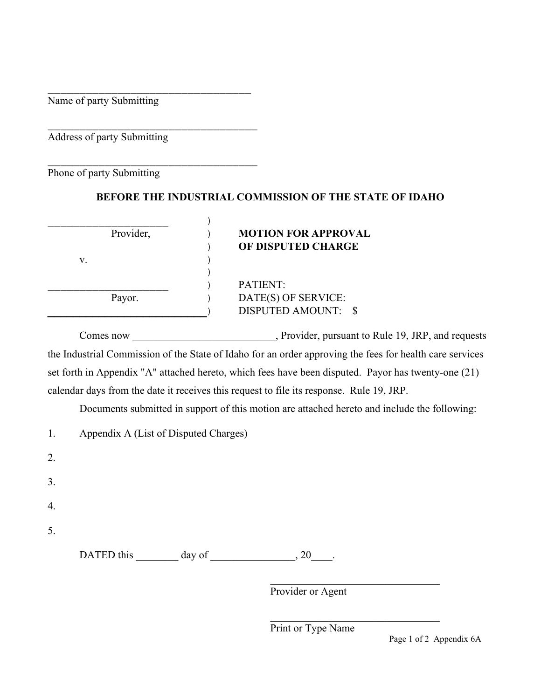\_\_\_\_\_\_\_\_\_\_\_\_\_\_\_\_\_\_\_\_\_\_\_\_\_\_\_\_\_\_\_\_ Name of party Submitting

\_\_\_\_\_\_\_\_\_\_\_\_\_\_\_\_\_\_\_\_\_\_\_\_\_\_\_\_\_\_\_\_\_ Address of party Submitting

\_\_\_\_\_\_\_\_\_\_\_\_\_\_\_\_\_\_\_\_\_\_\_\_\_\_\_\_\_\_\_\_\_ Phone of party Submitting

# **BEFORE THE INDUSTRIAL COMMISSION OF THE STATE OF IDAHO**

| Provider, | <b>MOTION FOR APPROVAL</b> |
|-----------|----------------------------|
|           | OF DISPUTED CHARGE         |
| V.        |                            |
|           |                            |
|           | <b>PATIENT:</b>            |
| Payor.    | DATE(S) OF SERVICE:        |
|           | DISPUTED AMOUNT: \$        |

Comes now comes now, Provider, pursuant to Rule 19, JRP, and requests the Industrial Commission of the State of Idaho for an order approving the fees for health care services set forth in Appendix "A" attached hereto, which fees have been disputed. Payor has twenty-one (21) calendar days from the date it receives this request to file its response. Rule 19, JRP.

Documents submitted in support of this motion are attached hereto and include the following:

|    |            | Appendix A (List of Disputed Charges) |      |
|----|------------|---------------------------------------|------|
| 2. |            |                                       |      |
| 3. |            |                                       |      |
| 4. |            |                                       |      |
| 5. |            |                                       |      |
|    | DATED this | day of                                | , 20 |

Provider or Agent

Print or Type Name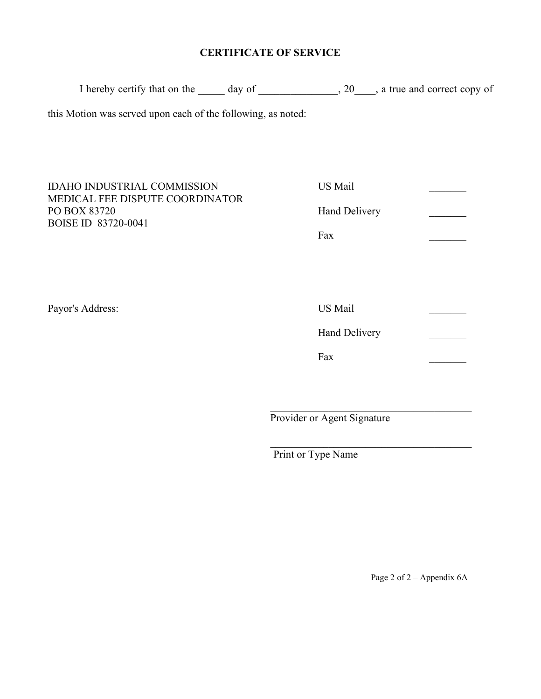# **CERTIFICATE OF SERVICE**

| this Motion was served upon each of the following, as noted: |                           |
|--------------------------------------------------------------|---------------------------|
|                                                              |                           |
|                                                              |                           |
|                                                              |                           |
| Hand Delivery                                                |                           |
| Fax                                                          |                           |
|                                                              |                           |
|                                                              |                           |
|                                                              |                           |
| <b>Hand Delivery</b>                                         |                           |
| Fax                                                          |                           |
|                                                              |                           |
| Provider or Agent Signature                                  |                           |
|                                                              | US Mail<br><b>US</b> Mail |

Print or Type Name

Page 2 of 2 – Appendix 6A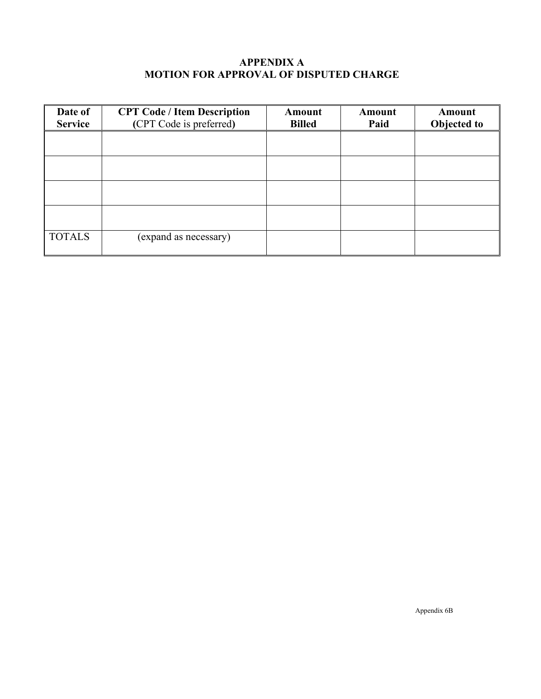# **APPENDIX A MOTION FOR APPROVAL OF DISPUTED CHARGE**

| Date of        | <b>CPT Code / Item Description</b> | Amount        | Amount | Amount      |
|----------------|------------------------------------|---------------|--------|-------------|
| <b>Service</b> | (CPT Code is preferred)            | <b>Billed</b> | Paid   | Objected to |
|                |                                    |               |        |             |
|                |                                    |               |        |             |
|                |                                    |               |        |             |
|                |                                    |               |        |             |
|                |                                    |               |        |             |
|                |                                    |               |        |             |
|                |                                    |               |        |             |
|                |                                    |               |        |             |
| <b>TOTALS</b>  | (expand as necessary)              |               |        |             |
|                |                                    |               |        |             |

Appendix 6B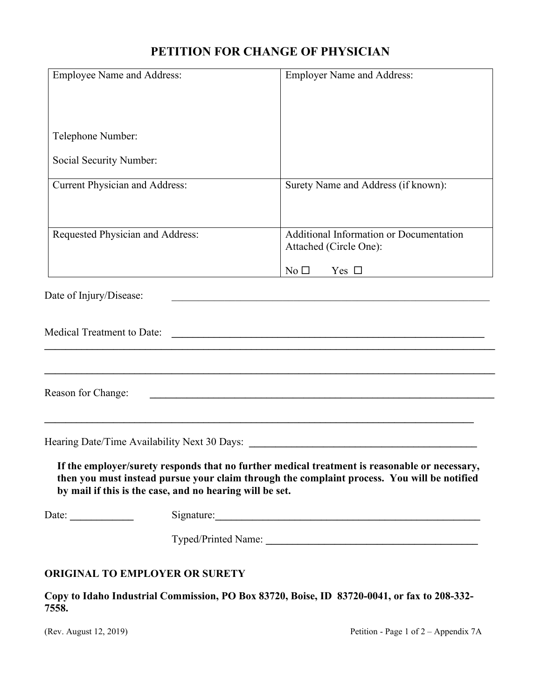# **PETITION FOR CHANGE OF PHYSICIAN**

| <b>Employee Name and Address:</b>                      |                                                          | <b>Employer Name and Address:</b>                                                                                                                                                            |
|--------------------------------------------------------|----------------------------------------------------------|----------------------------------------------------------------------------------------------------------------------------------------------------------------------------------------------|
|                                                        |                                                          |                                                                                                                                                                                              |
| Telephone Number:                                      |                                                          |                                                                                                                                                                                              |
| Social Security Number:                                |                                                          |                                                                                                                                                                                              |
| Current Physician and Address:                         |                                                          | Surety Name and Address (if known):                                                                                                                                                          |
| Requested Physician and Address:                       |                                                          | Additional Information or Documentation<br>Attached (Circle One):                                                                                                                            |
|                                                        |                                                          | Yes $\Box$<br>No <sub>1</sub>                                                                                                                                                                |
| Date of Injury/Disease:                                |                                                          |                                                                                                                                                                                              |
|                                                        |                                                          |                                                                                                                                                                                              |
| <b>Medical Treatment to Date:</b>                      |                                                          | <u> 1980 - Johann Barbara, martxa alemaniar amerikan basar da da a shekara a shekara a shekara a shekara a shekar</u>                                                                        |
|                                                        |                                                          |                                                                                                                                                                                              |
| Reason for Change:                                     |                                                          | <u> 1989 - Jan James James Barnett, amerikan basar dan berasal dan berasal dari berasal dalam berasal dalam bera</u>                                                                         |
|                                                        |                                                          |                                                                                                                                                                                              |
|                                                        |                                                          | Hearing Date/Time Availability Next 30 Days:                                                                                                                                                 |
|                                                        | by mail if this is the case, and no hearing will be set. | If the employer/surety responds that no further medical treatment is reasonable or necessary,<br>then you must instead pursue your claim through the complaint process. You will be notified |
| Date: $\frac{1}{\sqrt{1-\frac{1}{2}}\cdot\frac{1}{2}}$ |                                                          |                                                                                                                                                                                              |
|                                                        |                                                          |                                                                                                                                                                                              |
|                                                        | ORIGINAL TO EMPLOYER OR SURETY                           |                                                                                                                                                                                              |
|                                                        |                                                          |                                                                                                                                                                                              |

**Copy to Idaho Industrial Commission, PO Box 83720, Boise, ID 83720-0041, or fax to 208-332- 7558.**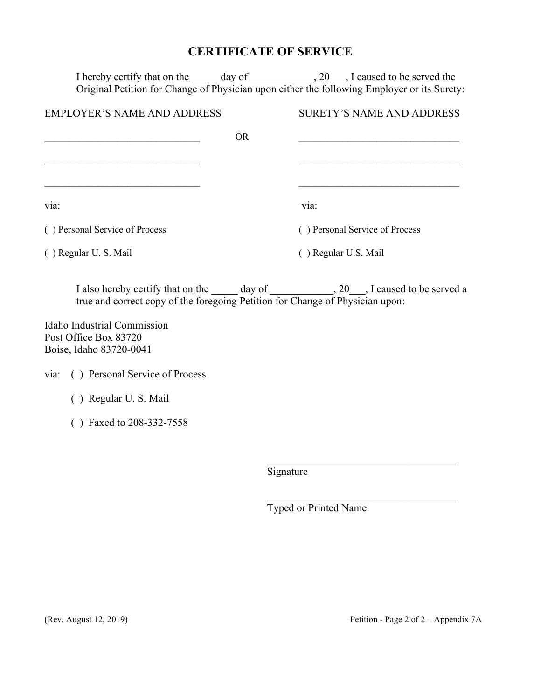# **CERTIFICATE OF SERVICE**

|                                                                                 | I hereby certify that on the _______ day of _______________, 20___, I caused to be served the<br>Original Petition for Change of Physician upon either the following Employer or its Surety: |
|---------------------------------------------------------------------------------|----------------------------------------------------------------------------------------------------------------------------------------------------------------------------------------------|
| <b>EMPLOYER'S NAME AND ADDRESS</b>                                              | <b>SURETY'S NAME AND ADDRESS</b>                                                                                                                                                             |
|                                                                                 | <b>OR</b>                                                                                                                                                                                    |
|                                                                                 |                                                                                                                                                                                              |
| via:                                                                            | via:                                                                                                                                                                                         |
| () Personal Service of Process                                                  | () Personal Service of Process                                                                                                                                                               |
| () Regular U. S. Mail                                                           | () Regular U.S. Mail                                                                                                                                                                         |
| true and correct copy of the foregoing Petition for Change of Physician upon:   | I also hereby certify that on the ______ day of _______________, 20___, I caused to be served a                                                                                              |
| Idaho Industrial Commission<br>Post Office Box 83720<br>Boise, Idaho 83720-0041 |                                                                                                                                                                                              |
| () Personal Service of Process<br>via:                                          |                                                                                                                                                                                              |
| () Regular U.S. Mail                                                            |                                                                                                                                                                                              |
| () Faxed to 208-332-7558                                                        |                                                                                                                                                                                              |

**Signature** 

Typed or Printed Name

\_\_\_\_\_\_\_\_\_\_\_\_\_\_\_\_\_\_\_\_\_\_\_\_\_\_\_\_\_\_\_\_\_\_\_\_

\_\_\_\_\_\_\_\_\_\_\_\_\_\_\_\_\_\_\_\_\_\_\_\_\_\_\_\_\_\_\_\_\_\_\_\_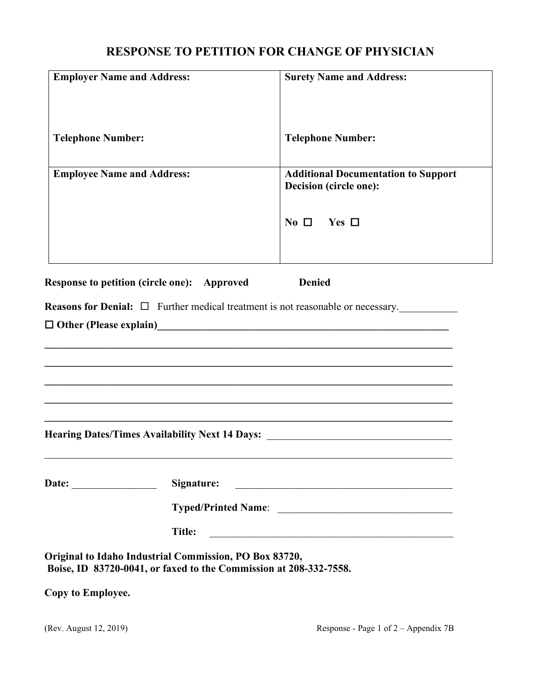# **RESPONSE TO PETITION FOR CHANGE OF PHYSICIAN**

| <b>Employer Name and Address:</b>                      |                                                                        | <b>Surety Name and Address:</b>                                                                                       |
|--------------------------------------------------------|------------------------------------------------------------------------|-----------------------------------------------------------------------------------------------------------------------|
| <b>Telephone Number:</b>                               |                                                                        | <b>Telephone Number:</b>                                                                                              |
| <b>Employee Name and Address:</b>                      |                                                                        | <b>Additional Documentation to Support</b><br>Decision (circle one):<br>$\mathrm{No} \ \Box$ Yes $\Box$               |
| Response to petition (circle one): Approved            |                                                                        | <b>Denied</b><br><b>Reasons for Denial:</b> $\Box$ Further medical treatment is not reasonable or necessary.          |
|                                                        |                                                                        | Hearing Dates/Times Availability Next 14 Days: _________________________________                                      |
|                                                        | Signature:<br><u> 1989 - Johann John Stein, marwolaethau (b. 1989)</u> |                                                                                                                       |
| Original to Idaho Industrial Commission, PO Box 83720, | <b>Title:</b>                                                          | <u> 1989 - Johann John Stone, markin film yn y breninnas y breninnas y breninnas y breninnas y breninnas y brenin</u> |
|                                                        |                                                                        | Boise, ID 83720-0041, or faxed to the Commission at 208-332-7558.                                                     |
| Copy to Employee.                                      |                                                                        |                                                                                                                       |
| (Rev. August 12, 2019)                                 |                                                                        | Response - Page 1 of $2 -$ Appendix 7B                                                                                |